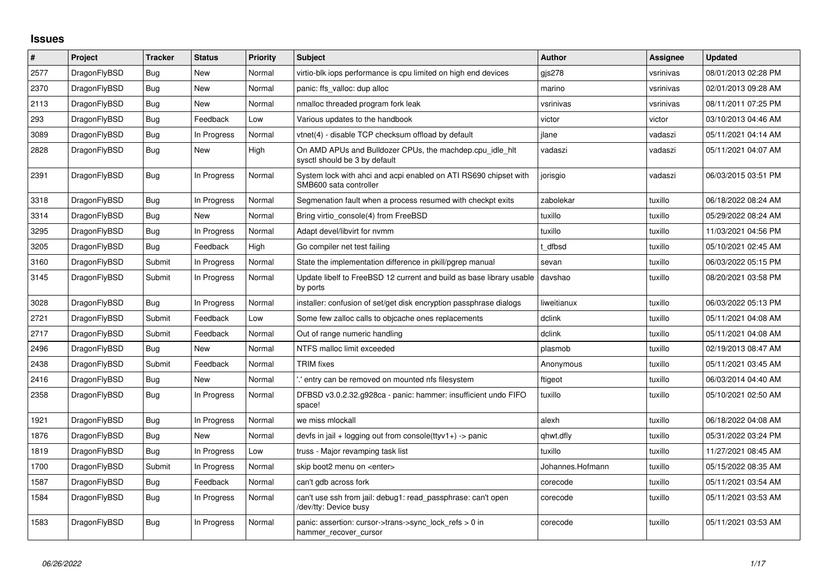## **Issues**

| $\vert$ # | Project      | <b>Tracker</b> | <b>Status</b> | Priority | <b>Subject</b>                                                                             | <b>Author</b>    | Assignee  | <b>Updated</b>      |
|-----------|--------------|----------------|---------------|----------|--------------------------------------------------------------------------------------------|------------------|-----------|---------------------|
| 2577      | DragonFlyBSD | Bug            | <b>New</b>    | Normal   | virtio-blk iops performance is cpu limited on high end devices                             | gis278           | vsrinivas | 08/01/2013 02:28 PM |
| 2370      | DragonFlyBSD | Bug            | New           | Normal   | panic: ffs_valloc: dup alloc                                                               | marino           | vsrinivas | 02/01/2013 09:28 AM |
| 2113      | DragonFlyBSD | Bug            | New           | Normal   | nmalloc threaded program fork leak                                                         | vsrinivas        | vsrinivas | 08/11/2011 07:25 PM |
| 293       | DragonFlyBSD | <b>Bug</b>     | Feedback      | Low      | Various updates to the handbook                                                            | victor           | victor    | 03/10/2013 04:46 AM |
| 3089      | DragonFlyBSD | Bug            | In Progress   | Normal   | vtnet(4) - disable TCP checksum offload by default                                         | ilane            | vadaszi   | 05/11/2021 04:14 AM |
| 2828      | DragonFlyBSD | Bug            | New           | High     | On AMD APUs and Bulldozer CPUs, the machdep.cpu_idle_hlt<br>sysctl should be 3 by default  | vadaszi          | vadaszi   | 05/11/2021 04:07 AM |
| 2391      | DragonFlyBSD | <b>Bug</b>     | In Progress   | Normal   | System lock with ahci and acpi enabled on ATI RS690 chipset with<br>SMB600 sata controller | jorisgio         | vadaszi   | 06/03/2015 03:51 PM |
| 3318      | DragonFlyBSD | <b>Bug</b>     | In Progress   | Normal   | Segmenation fault when a process resumed with checkpt exits                                | zabolekar        | tuxillo   | 06/18/2022 08:24 AM |
| 3314      | DragonFlyBSD | Bug            | <b>New</b>    | Normal   | Bring virtio console(4) from FreeBSD                                                       | tuxillo          | tuxillo   | 05/29/2022 08:24 AM |
| 3295      | DragonFlyBSD | Bug            | In Progress   | Normal   | Adapt devel/libvirt for nymm                                                               | tuxillo          | tuxillo   | 11/03/2021 04:56 PM |
| 3205      | DragonFlyBSD | <b>Bug</b>     | Feedback      | High     | Go compiler net test failing                                                               | t dfbsd          | tuxillo   | 05/10/2021 02:45 AM |
| 3160      | DragonFlyBSD | Submit         | In Progress   | Normal   | State the implementation difference in pkill/pgrep manual                                  | sevan            | tuxillo   | 06/03/2022 05:15 PM |
| 3145      | DragonFlyBSD | Submit         | In Progress   | Normal   | Update libelf to FreeBSD 12 current and build as base library usable<br>by ports           | davshao          | tuxillo   | 08/20/2021 03:58 PM |
| 3028      | DragonFlyBSD | <b>Bug</b>     | In Progress   | Normal   | installer: confusion of set/get disk encryption passphrase dialogs                         | liweitianux      | tuxillo   | 06/03/2022 05:13 PM |
| 2721      | DragonFlyBSD | Submit         | Feedback      | Low      | Some few zalloc calls to objcache ones replacements                                        | dclink           | tuxillo   | 05/11/2021 04:08 AM |
| 2717      | DragonFlyBSD | Submit         | Feedback      | Normal   | Out of range numeric handling                                                              | dclink           | tuxillo   | 05/11/2021 04:08 AM |
| 2496      | DragonFlyBSD | <b>Bug</b>     | New           | Normal   | NTFS malloc limit exceeded                                                                 | plasmob          | tuxillo   | 02/19/2013 08:47 AM |
| 2438      | DragonFlyBSD | Submit         | Feedback      | Normal   | <b>TRIM</b> fixes                                                                          | Anonymous        | tuxillo   | 05/11/2021 03:45 AM |
| 2416      | DragonFlyBSD | <b>Bug</b>     | New           | Normal   | ".' entry can be removed on mounted nfs filesystem                                         | ftigeot          | tuxillo   | 06/03/2014 04:40 AM |
| 2358      | DragonFlyBSD | Bug            | In Progress   | Normal   | DFBSD v3.0.2.32.g928ca - panic: hammer: insufficient undo FIFO<br>space!                   | tuxillo          | tuxillo   | 05/10/2021 02:50 AM |
| 1921      | DragonFlyBSD | <b>Bug</b>     | In Progress   | Normal   | we miss mlockall                                                                           | alexh            | tuxillo   | 06/18/2022 04:08 AM |
| 1876      | DragonFlyBSD | Bug            | <b>New</b>    | Normal   | devfs in jail + logging out from console(ttyv1+) -> panic                                  | qhwt.dfly        | tuxillo   | 05/31/2022 03:24 PM |
| 1819      | DragonFlyBSD | Bug            | In Progress   | Low      | truss - Major revamping task list                                                          | tuxillo          | tuxillo   | 11/27/2021 08:45 AM |
| 1700      | DragonFlyBSD | Submit         | In Progress   | Normal   | skip boot2 menu on <enter></enter>                                                         | Johannes.Hofmann | tuxillo   | 05/15/2022 08:35 AM |
| 1587      | DragonFlyBSD | Bug            | Feedback      | Normal   | can't gdb across fork                                                                      | corecode         | tuxillo   | 05/11/2021 03:54 AM |
| 1584      | DragonFlyBSD | Bug            | In Progress   | Normal   | can't use ssh from jail: debug1: read passphrase: can't open<br>/dev/tty: Device busy      | corecode         | tuxillo   | 05/11/2021 03:53 AM |
| 1583      | DragonFlyBSD | <b>Bug</b>     | In Progress   | Normal   | panic: assertion: cursor->trans->sync_lock_refs > 0 in<br>hammer_recover_cursor            | corecode         | tuxillo   | 05/11/2021 03:53 AM |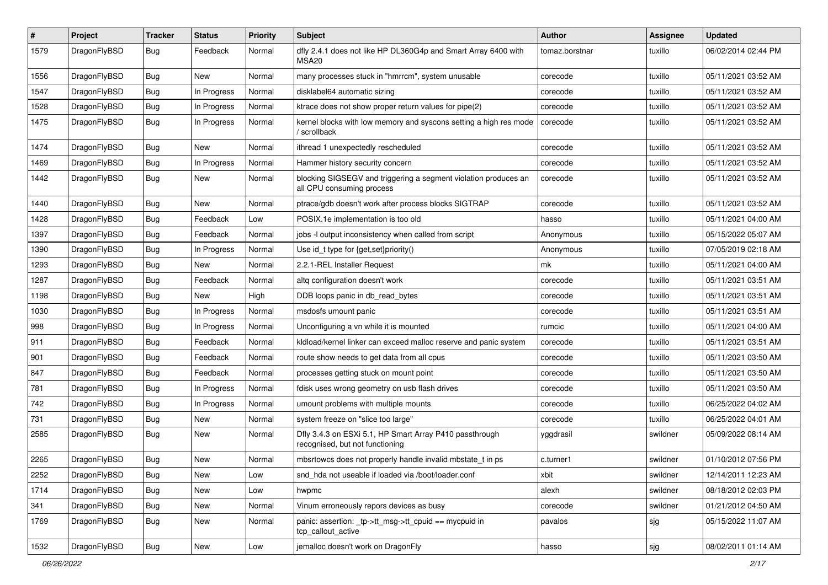| $\sharp$ | Project      | <b>Tracker</b> | <b>Status</b> | <b>Priority</b> | Subject                                                                                      | <b>Author</b>  | Assignee | <b>Updated</b>      |
|----------|--------------|----------------|---------------|-----------------|----------------------------------------------------------------------------------------------|----------------|----------|---------------------|
| 1579     | DragonFlyBSD | Bug            | Feedback      | Normal          | dfly 2.4.1 does not like HP DL360G4p and Smart Array 6400 with<br>MSA20                      | tomaz.borstnar | tuxillo  | 06/02/2014 02:44 PM |
| 1556     | DragonFlyBSD | Bug            | New           | Normal          | many processes stuck in "hmrrcm", system unusable                                            | corecode       | tuxillo  | 05/11/2021 03:52 AM |
| 1547     | DragonFlyBSD | <b>Bug</b>     | In Progress   | Normal          | disklabel64 automatic sizing                                                                 | corecode       | tuxillo  | 05/11/2021 03:52 AM |
| 1528     | DragonFlyBSD | Bug            | In Progress   | Normal          | ktrace does not show proper return values for pipe(2)                                        | corecode       | tuxillo  | 05/11/2021 03:52 AM |
| 1475     | DragonFlyBSD | <b>Bug</b>     | In Progress   | Normal          | kernel blocks with low memory and syscons setting a high res mode<br>/ scrollback            | corecode       | tuxillo  | 05/11/2021 03:52 AM |
| 1474     | DragonFlyBSD | Bug            | New           | Normal          | ithread 1 unexpectedly rescheduled                                                           | corecode       | tuxillo  | 05/11/2021 03:52 AM |
| 1469     | DragonFlyBSD | Bug            | In Progress   | Normal          | Hammer history security concern                                                              | corecode       | tuxillo  | 05/11/2021 03:52 AM |
| 1442     | DragonFlyBSD | <b>Bug</b>     | New           | Normal          | blocking SIGSEGV and triggering a segment violation produces an<br>all CPU consuming process | corecode       | tuxillo  | 05/11/2021 03:52 AM |
| 1440     | DragonFlyBSD | Bug            | New           | Normal          | ptrace/gdb doesn't work after process blocks SIGTRAP                                         | corecode       | tuxillo  | 05/11/2021 03:52 AM |
| 1428     | DragonFlyBSD | Bug            | Feedback      | Low             | POSIX.1e implementation is too old                                                           | hasso          | tuxillo  | 05/11/2021 04:00 AM |
| 1397     | DragonFlyBSD | Bug            | Feedback      | Normal          | jobs -I output inconsistency when called from script                                         | Anonymous      | tuxillo  | 05/15/2022 05:07 AM |
| 1390     | DragonFlyBSD | Bug            | In Progress   | Normal          | Use id_t type for {get,set}priority()                                                        | Anonymous      | tuxillo  | 07/05/2019 02:18 AM |
| 1293     | DragonFlyBSD | <b>Bug</b>     | New           | Normal          | 2.2.1-REL Installer Request                                                                  | mk             | tuxillo  | 05/11/2021 04:00 AM |
| 1287     | DragonFlyBSD | <b>Bug</b>     | Feedback      | Normal          | altg configuration doesn't work                                                              | corecode       | tuxillo  | 05/11/2021 03:51 AM |
| 1198     | DragonFlyBSD | Bug            | New           | High            | DDB loops panic in db_read_bytes                                                             | corecode       | tuxillo  | 05/11/2021 03:51 AM |
| 1030     | DragonFlyBSD | <b>Bug</b>     | In Progress   | Normal          | msdosfs umount panic                                                                         | corecode       | tuxillo  | 05/11/2021 03:51 AM |
| 998      | DragonFlyBSD | <b>Bug</b>     | In Progress   | Normal          | Unconfiguring a vn while it is mounted                                                       | rumcic         | tuxillo  | 05/11/2021 04:00 AM |
| 911      | DragonFlyBSD | Bug            | Feedback      | Normal          | kldload/kernel linker can exceed malloc reserve and panic system                             | corecode       | tuxillo  | 05/11/2021 03:51 AM |
| 901      | DragonFlyBSD | <b>Bug</b>     | Feedback      | Normal          | route show needs to get data from all cpus                                                   | corecode       | tuxillo  | 05/11/2021 03:50 AM |
| 847      | DragonFlyBSD | Bug            | Feedback      | Normal          | processes getting stuck on mount point                                                       | corecode       | tuxillo  | 05/11/2021 03:50 AM |
| 781      | DragonFlyBSD | <b>Bug</b>     | In Progress   | Normal          | fdisk uses wrong geometry on usb flash drives                                                | corecode       | tuxillo  | 05/11/2021 03:50 AM |
| 742      | DragonFlyBSD | <b>Bug</b>     | In Progress   | Normal          | umount problems with multiple mounts                                                         | corecode       | tuxillo  | 06/25/2022 04:02 AM |
| 731      | DragonFlyBSD | <b>Bug</b>     | New           | Normal          | system freeze on "slice too large"                                                           | corecode       | tuxillo  | 06/25/2022 04:01 AM |
| 2585     | DragonFlyBSD | <b>Bug</b>     | New           | Normal          | Dfly 3.4.3 on ESXi 5.1, HP Smart Array P410 passthrough<br>recognised, but not functioning   | yggdrasil      | swildner | 05/09/2022 08:14 AM |
| 2265     | DragonFlyBSD | Bug            | New           | Normal          | mbsrtowcs does not properly handle invalid mbstate t in ps                                   | c.turner1      | swildner | 01/10/2012 07:56 PM |
| 2252     | DragonFlyBSD | <b>Bug</b>     | New           | Low             | snd_hda not useable if loaded via /boot/loader.conf                                          | xbit           | swildner | 12/14/2011 12:23 AM |
| 1714     | DragonFlyBSD | <b>Bug</b>     | <b>New</b>    | Low             | hwpmc                                                                                        | alexh          | swildner | 08/18/2012 02:03 PM |
| 341      | DragonFlyBSD | <b>Bug</b>     | New           | Normal          | Vinum erroneously repors devices as busy                                                     | corecode       | swildner | 01/21/2012 04:50 AM |
| 1769     | DragonFlyBSD | <b>Bug</b>     | New           | Normal          | panic: assertion: _tp->tt_msg->tt_cpuid == mycpuid in<br>tcp_callout_active                  | pavalos        | sjg      | 05/15/2022 11:07 AM |
| 1532     | DragonFlyBSD | Bug            | New           | Low             | jemalloc doesn't work on DragonFly                                                           | hasso          | sjg      | 08/02/2011 01:14 AM |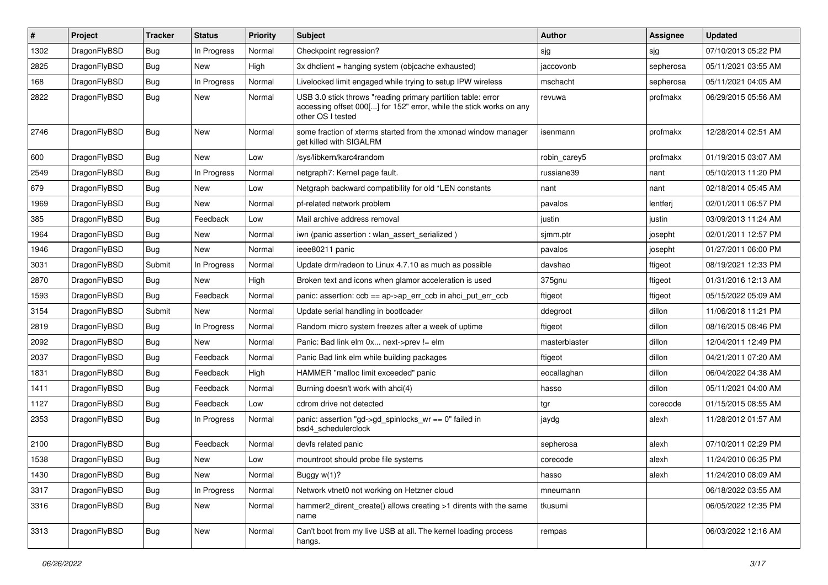| #    | Project      | <b>Tracker</b> | <b>Status</b> | <b>Priority</b> | Subject                                                                                                                                                  | <b>Author</b> | Assignee  | <b>Updated</b>      |
|------|--------------|----------------|---------------|-----------------|----------------------------------------------------------------------------------------------------------------------------------------------------------|---------------|-----------|---------------------|
| 1302 | DragonFlyBSD | <b>Bug</b>     | In Progress   | Normal          | Checkpoint regression?                                                                                                                                   | sjg           | sjg       | 07/10/2013 05:22 PM |
| 2825 | DragonFlyBSD | Bug            | <b>New</b>    | High            | 3x dhclient = hanging system (objcache exhausted)                                                                                                        | jaccovonb     | sepherosa | 05/11/2021 03:55 AM |
| 168  | DragonFlyBSD | <b>Bug</b>     | In Progress   | Normal          | Livelocked limit engaged while trying to setup IPW wireless                                                                                              | mschacht      | sepherosa | 05/11/2021 04:05 AM |
| 2822 | DragonFlyBSD | <b>Bug</b>     | New           | Normal          | USB 3.0 stick throws "reading primary partition table: error<br>accessing offset 000[] for 152" error, while the stick works on any<br>other OS I tested | revuwa        | profmakx  | 06/29/2015 05:56 AM |
| 2746 | DragonFlyBSD | Bug            | New           | Normal          | some fraction of xterms started from the xmonad window manager<br>get killed with SIGALRM                                                                | isenmann      | profmakx  | 12/28/2014 02:51 AM |
| 600  | DragonFlyBSD | Bug            | <b>New</b>    | Low             | /sys/libkern/karc4random                                                                                                                                 | robin carey5  | profmakx  | 01/19/2015 03:07 AM |
| 2549 | DragonFlyBSD | Bug            | In Progress   | Normal          | netgraph7: Kernel page fault.                                                                                                                            | russiane39    | nant      | 05/10/2013 11:20 PM |
| 679  | DragonFlyBSD | <b>Bug</b>     | New           | Low             | Netgraph backward compatibility for old *LEN constants                                                                                                   | nant          | nant      | 02/18/2014 05:45 AM |
| 1969 | DragonFlyBSD | <b>Bug</b>     | New           | Normal          | pf-related network problem                                                                                                                               | pavalos       | lentferj  | 02/01/2011 06:57 PM |
| 385  | DragonFlyBSD | Bug            | Feedback      | Low             | Mail archive address removal                                                                                                                             | justin        | justin    | 03/09/2013 11:24 AM |
| 1964 | DragonFlyBSD | <b>Bug</b>     | New           | Normal          | iwn (panic assertion : wlan_assert_serialized)                                                                                                           | sjmm.ptr      | josepht   | 02/01/2011 12:57 PM |
| 1946 | DragonFlyBSD | <b>Bug</b>     | New           | Normal          | ieee80211 panic                                                                                                                                          | pavalos       | josepht   | 01/27/2011 06:00 PM |
| 3031 | DragonFlyBSD | Submit         | In Progress   | Normal          | Update drm/radeon to Linux 4.7.10 as much as possible                                                                                                    | davshao       | ftigeot   | 08/19/2021 12:33 PM |
| 2870 | DragonFlyBSD | <b>Bug</b>     | <b>New</b>    | High            | Broken text and icons when glamor acceleration is used                                                                                                   | 375gnu        | ftigeot   | 01/31/2016 12:13 AM |
| 1593 | DragonFlyBSD | Bug            | Feedback      | Normal          | panic: assertion: $ccb = ap > ap$ err $ccb$ in ahci put err $ccb$                                                                                        | ftigeot       | ftigeot   | 05/15/2022 05:09 AM |
| 3154 | DragonFlyBSD | Submit         | <b>New</b>    | Normal          | Update serial handling in bootloader                                                                                                                     | ddegroot      | dillon    | 11/06/2018 11:21 PM |
| 2819 | DragonFlyBSD | Bug            | In Progress   | Normal          | Random micro system freezes after a week of uptime                                                                                                       | ftigeot       | dillon    | 08/16/2015 08:46 PM |
| 2092 | DragonFlyBSD | <b>Bug</b>     | New           | Normal          | Panic: Bad link elm 0x next->prev != elm                                                                                                                 | masterblaster | dillon    | 12/04/2011 12:49 PM |
| 2037 | DragonFlyBSD | <b>Bug</b>     | Feedback      | Normal          | Panic Bad link elm while building packages                                                                                                               | ftigeot       | dillon    | 04/21/2011 07:20 AM |
| 1831 | DragonFlyBSD | Bug            | Feedback      | High            | HAMMER "malloc limit exceeded" panic                                                                                                                     | eocallaghan   | dillon    | 06/04/2022 04:38 AM |
| 1411 | DragonFlyBSD | <b>Bug</b>     | Feedback      | Normal          | Burning doesn't work with ahci(4)                                                                                                                        | hasso         | dillon    | 05/11/2021 04:00 AM |
| 1127 | DragonFlyBSD | <b>Bug</b>     | Feedback      | Low             | cdrom drive not detected                                                                                                                                 | tgr           | corecode  | 01/15/2015 08:55 AM |
| 2353 | DragonFlyBSD | <b>Bug</b>     | In Progress   | Normal          | panic: assertion "gd->gd_spinlocks_wr == 0" failed in<br>bsd4 schedulerclock                                                                             | jaydg         | alexh     | 11/28/2012 01:57 AM |
| 2100 | DragonFlyBSD | <b>Bug</b>     | Feedback      | Normal          | devfs related panic                                                                                                                                      | sepherosa     | alexh     | 07/10/2011 02:29 PM |
| 1538 | DragonFlyBSD | <b>Bug</b>     | New           | Low             | mountroot should probe file systems                                                                                                                      | corecode      | alexh     | 11/24/2010 06:35 PM |
| 1430 | DragonFlyBSD | <b>Bug</b>     | New           | Normal          | Buggy w(1)?                                                                                                                                              | hasso         | alexh     | 11/24/2010 08:09 AM |
| 3317 | DragonFlyBSD | <b>Bug</b>     | In Progress   | Normal          | Network vtnet0 not working on Hetzner cloud                                                                                                              | mneumann      |           | 06/18/2022 03:55 AM |
| 3316 | DragonFlyBSD | <b>Bug</b>     | New           | Normal          | hammer2_dirent_create() allows creating >1 dirents with the same<br>name                                                                                 | tkusumi       |           | 06/05/2022 12:35 PM |
| 3313 | DragonFlyBSD | <b>Bug</b>     | New           | Normal          | Can't boot from my live USB at all. The kernel loading process<br>hangs.                                                                                 | rempas        |           | 06/03/2022 12:16 AM |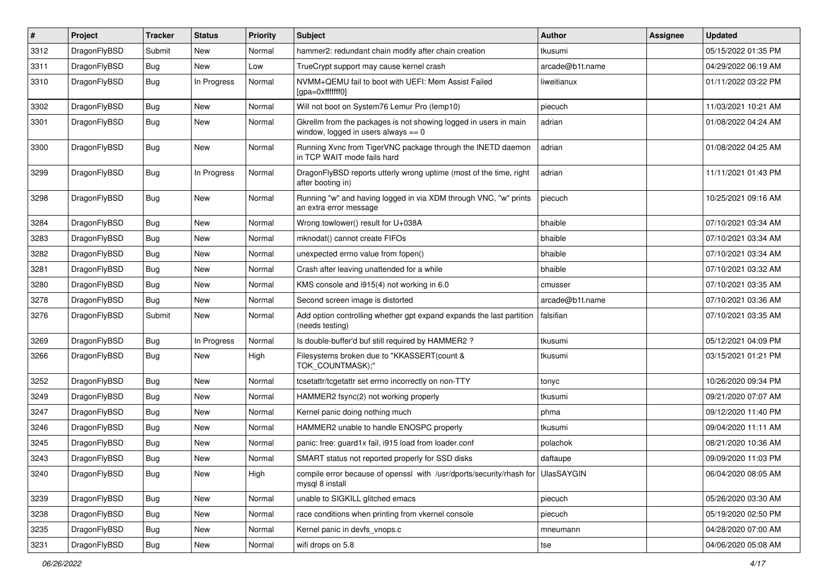| $\sharp$ | Project      | <b>Tracker</b> | <b>Status</b> | <b>Priority</b> | Subject                                                                                                   | <b>Author</b>   | Assignee | <b>Updated</b>      |
|----------|--------------|----------------|---------------|-----------------|-----------------------------------------------------------------------------------------------------------|-----------------|----------|---------------------|
| 3312     | DragonFlyBSD | Submit         | <b>New</b>    | Normal          | hammer2: redundant chain modify after chain creation                                                      | tkusumi         |          | 05/15/2022 01:35 PM |
| 3311     | DragonFlyBSD | <b>Bug</b>     | New           | Low             | TrueCrypt support may cause kernel crash                                                                  | arcade@b1t.name |          | 04/29/2022 06:19 AM |
| 3310     | DragonFlyBSD | <b>Bug</b>     | In Progress   | Normal          | NVMM+QEMU fail to boot with UEFI: Mem Assist Failed<br>[gpa=0xfffffff0]                                   | liweitianux     |          | 01/11/2022 03:22 PM |
| 3302     | DragonFlyBSD | Bug            | <b>New</b>    | Normal          | Will not boot on System76 Lemur Pro (lemp10)                                                              | piecuch         |          | 11/03/2021 10:21 AM |
| 3301     | DragonFlyBSD | <b>Bug</b>     | <b>New</b>    | Normal          | Gkrellm from the packages is not showing logged in users in main<br>window, logged in users always $== 0$ | adrian          |          | 01/08/2022 04:24 AM |
| 3300     | DragonFlyBSD | <b>Bug</b>     | New           | Normal          | Running Xvnc from TigerVNC package through the INETD daemon<br>in TCP WAIT mode fails hard                | adrian          |          | 01/08/2022 04:25 AM |
| 3299     | DragonFlyBSD | Bug            | In Progress   | Normal          | DragonFlyBSD reports utterly wrong uptime (most of the time, right<br>after booting in)                   | adrian          |          | 11/11/2021 01:43 PM |
| 3298     | DragonFlyBSD | <b>Bug</b>     | <b>New</b>    | Normal          | Running "w" and having logged in via XDM through VNC, "w" prints<br>an extra error message                | piecuch         |          | 10/25/2021 09:16 AM |
| 3284     | DragonFlyBSD | Bug            | <b>New</b>    | Normal          | Wrong towlower() result for U+038A                                                                        | bhaible         |          | 07/10/2021 03:34 AM |
| 3283     | DragonFlyBSD | <b>Bug</b>     | New           | Normal          | mknodat() cannot create FIFOs                                                                             | bhaible         |          | 07/10/2021 03:34 AM |
| 3282     | DragonFlyBSD | <b>Bug</b>     | <b>New</b>    | Normal          | unexpected errno value from fopen()                                                                       | bhaible         |          | 07/10/2021 03:34 AM |
| 3281     | DragonFlyBSD | <b>Bug</b>     | New           | Normal          | Crash after leaving unattended for a while                                                                | bhaible         |          | 07/10/2021 03:32 AM |
| 3280     | DragonFlyBSD | <b>Bug</b>     | <b>New</b>    | Normal          | KMS console and i915(4) not working in 6.0                                                                | cmusser         |          | 07/10/2021 03:35 AM |
| 3278     | DragonFlyBSD | Bug            | New           | Normal          | Second screen image is distorted                                                                          | arcade@b1t.name |          | 07/10/2021 03:36 AM |
| 3276     | DragonFlyBSD | Submit         | New           | Normal          | Add option controlling whether gpt expand expands the last partition<br>(needs testing)                   | falsifian       |          | 07/10/2021 03:35 AM |
| 3269     | DragonFlyBSD | <b>Bug</b>     | In Progress   | Normal          | Is double-buffer'd buf still required by HAMMER2 ?                                                        | tkusumi         |          | 05/12/2021 04:09 PM |
| 3266     | DragonFlyBSD | Bug            | New           | High            | Filesystems broken due to "KKASSERT(count &<br>TOK_COUNTMASK);"                                           | tkusumi         |          | 03/15/2021 01:21 PM |
| 3252     | DragonFlyBSD | <b>Bug</b>     | <b>New</b>    | Normal          | tcsetattr/tcgetattr set errno incorrectly on non-TTY                                                      | tonyc           |          | 10/26/2020 09:34 PM |
| 3249     | DragonFlyBSD | <b>Bug</b>     | <b>New</b>    | Normal          | HAMMER2 fsync(2) not working properly                                                                     | tkusumi         |          | 09/21/2020 07:07 AM |
| 3247     | DragonFlyBSD | <b>Bug</b>     | New           | Normal          | Kernel panic doing nothing much                                                                           | phma            |          | 09/12/2020 11:40 PM |
| 3246     | DragonFlyBSD | <b>Bug</b>     | <b>New</b>    | Normal          | HAMMER2 unable to handle ENOSPC properly                                                                  | tkusumi         |          | 09/04/2020 11:11 AM |
| 3245     | DragonFlyBSD | <b>Bug</b>     | <b>New</b>    | Normal          | panic: free: guard1x fail, i915 load from loader.conf                                                     | polachok        |          | 08/21/2020 10:36 AM |
| 3243     | DragonFlyBSD | <b>Bug</b>     | New           | Normal          | SMART status not reported properly for SSD disks                                                          | daftaupe        |          | 09/09/2020 11:03 PM |
| 3240     | DragonFlyBSD | Bug            | New           | High            | compile error because of openssl with /usr/dports/security/rhash for UlasSAYGIN<br>mysql 8 install        |                 |          | 06/04/2020 08:05 AM |
| 3239     | DragonFlyBSD | <b>Bug</b>     | New           | Normal          | unable to SIGKILL glitched emacs                                                                          | piecuch         |          | 05/26/2020 03:30 AM |
| 3238     | DragonFlyBSD | <b>Bug</b>     | New           | Normal          | race conditions when printing from vkernel console                                                        | piecuch         |          | 05/19/2020 02:50 PM |
| 3235     | DragonFlyBSD | <b>Bug</b>     | New           | Normal          | Kernel panic in devfs vnops.c                                                                             | mneumann        |          | 04/28/2020 07:00 AM |
| 3231     | DragonFlyBSD | Bug            | New           | Normal          | wifi drops on 5.8                                                                                         | tse             |          | 04/06/2020 05:08 AM |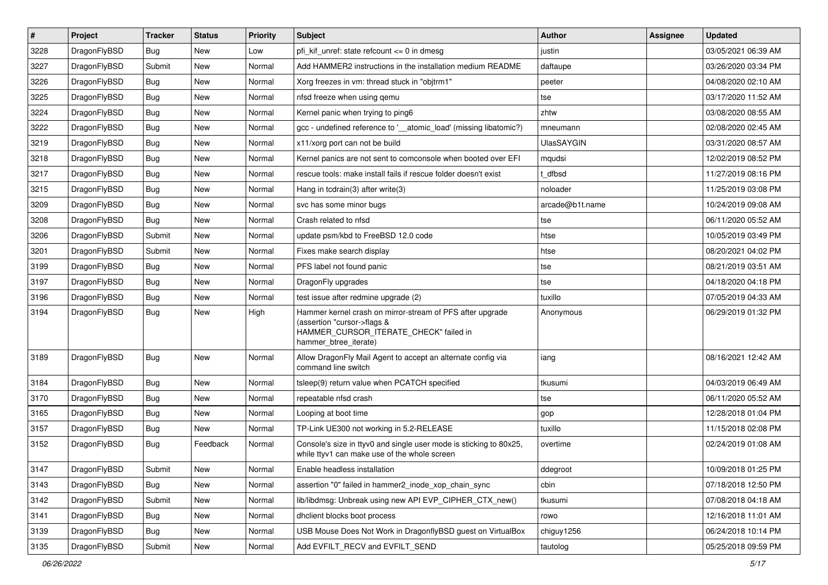| $\sharp$ | Project      | <b>Tracker</b> | <b>Status</b> | Priority | Subject                                                                                                                                                     | <b>Author</b>     | Assignee | <b>Updated</b>      |
|----------|--------------|----------------|---------------|----------|-------------------------------------------------------------------------------------------------------------------------------------------------------------|-------------------|----------|---------------------|
| 3228     | DragonFlyBSD | Bug            | New           | Low      | pfi kif unref: state refcount $\leq$ 0 in dmesg                                                                                                             | justin            |          | 03/05/2021 06:39 AM |
| 3227     | DragonFlyBSD | Submit         | <b>New</b>    | Normal   | Add HAMMER2 instructions in the installation medium README                                                                                                  | daftaupe          |          | 03/26/2020 03:34 PM |
| 3226     | DragonFlyBSD | Bug            | New           | Normal   | Xorg freezes in vm: thread stuck in "objtrm1"                                                                                                               | peeter            |          | 04/08/2020 02:10 AM |
| 3225     | DragonFlyBSD | <b>Bug</b>     | <b>New</b>    | Normal   | nfsd freeze when using gemu                                                                                                                                 | tse               |          | 03/17/2020 11:52 AM |
| 3224     | DragonFlyBSD | <b>Bug</b>     | <b>New</b>    | Normal   | Kernel panic when trying to ping6                                                                                                                           | zhtw              |          | 03/08/2020 08:55 AM |
| 3222     | DragonFlyBSD | <b>Bug</b>     | <b>New</b>    | Normal   | gcc - undefined reference to '_atomic_load' (missing libatomic?)                                                                                            | mneumann          |          | 02/08/2020 02:45 AM |
| 3219     | DragonFlyBSD | <b>Bug</b>     | New           | Normal   | x11/xorg port can not be build                                                                                                                              | <b>UlasSAYGIN</b> |          | 03/31/2020 08:57 AM |
| 3218     | DragonFlyBSD | <b>Bug</b>     | <b>New</b>    | Normal   | Kernel panics are not sent to comconsole when booted over EFI                                                                                               | mqudsi            |          | 12/02/2019 08:52 PM |
| 3217     | DragonFlyBSD | <b>Bug</b>     | New           | Normal   | rescue tools: make install fails if rescue folder doesn't exist                                                                                             | t dfbsd           |          | 11/27/2019 08:16 PM |
| 3215     | DragonFlyBSD | <b>Bug</b>     | <b>New</b>    | Normal   | Hang in tcdrain(3) after write(3)                                                                                                                           | noloader          |          | 11/25/2019 03:08 PM |
| 3209     | DragonFlyBSD | <b>Bug</b>     | <b>New</b>    | Normal   | svc has some minor bugs                                                                                                                                     | arcade@b1t.name   |          | 10/24/2019 09:08 AM |
| 3208     | DragonFlyBSD | <b>Bug</b>     | New           | Normal   | Crash related to nfsd                                                                                                                                       | tse               |          | 06/11/2020 05:52 AM |
| 3206     | DragonFlyBSD | Submit         | New           | Normal   | update psm/kbd to FreeBSD 12.0 code                                                                                                                         | htse              |          | 10/05/2019 03:49 PM |
| 3201     | DragonFlyBSD | Submit         | <b>New</b>    | Normal   | Fixes make search display                                                                                                                                   | htse              |          | 08/20/2021 04:02 PM |
| 3199     | DragonFlyBSD | <b>Bug</b>     | New           | Normal   | PFS label not found panic                                                                                                                                   | tse               |          | 08/21/2019 03:51 AM |
| 3197     | DragonFlyBSD | <b>Bug</b>     | <b>New</b>    | Normal   | DragonFly upgrades                                                                                                                                          | tse               |          | 04/18/2020 04:18 PM |
| 3196     | DragonFlyBSD | <b>Bug</b>     | New           | Normal   | test issue after redmine upgrade (2)                                                                                                                        | tuxillo           |          | 07/05/2019 04:33 AM |
| 3194     | DragonFlyBSD | <b>Bug</b>     | New           | High     | Hammer kernel crash on mirror-stream of PFS after upgrade<br>(assertion "cursor->flags &<br>HAMMER_CURSOR_ITERATE_CHECK" failed in<br>hammer_btree_iterate) | Anonymous         |          | 06/29/2019 01:32 PM |
| 3189     | DragonFlyBSD | <b>Bug</b>     | New           | Normal   | Allow DragonFly Mail Agent to accept an alternate config via<br>command line switch                                                                         | iang              |          | 08/16/2021 12:42 AM |
| 3184     | DragonFlyBSD | <b>Bug</b>     | <b>New</b>    | Normal   | tsleep(9) return value when PCATCH specified                                                                                                                | tkusumi           |          | 04/03/2019 06:49 AM |
| 3170     | DragonFlyBSD | <b>Bug</b>     | <b>New</b>    | Normal   | repeatable nfsd crash                                                                                                                                       | tse               |          | 06/11/2020 05:52 AM |
| 3165     | DragonFlyBSD | Bug            | New           | Normal   | Looping at boot time                                                                                                                                        | gop               |          | 12/28/2018 01:04 PM |
| 3157     | DragonFlyBSD | <b>Bug</b>     | New           | Normal   | TP-Link UE300 not working in 5.2-RELEASE                                                                                                                    | tuxillo           |          | 11/15/2018 02:08 PM |
| 3152     | DragonFlyBSD | Bug            | Feedback      | Normal   | Console's size in ttyv0 and single user mode is sticking to 80x25,<br>while ttyv1 can make use of the whole screen                                          | overtime          |          | 02/24/2019 01:08 AM |
| 3147     | DragonFlyBSD | Submit         | New           | Normal   | Enable headless installation                                                                                                                                | ddegroot          |          | 10/09/2018 01:25 PM |
| 3143     | DragonFlyBSD | Bug            | New           | Normal   | assertion "0" failed in hammer2_inode_xop_chain_sync                                                                                                        | cbin              |          | 07/18/2018 12:50 PM |
| 3142     | DragonFlyBSD | Submit         | New           | Normal   | lib/libdmsg: Unbreak using new API EVP_CIPHER_CTX_new()                                                                                                     | tkusumi           |          | 07/08/2018 04:18 AM |
| 3141     | DragonFlyBSD | <b>Bug</b>     | <b>New</b>    | Normal   | dhclient blocks boot process                                                                                                                                | rowo              |          | 12/16/2018 11:01 AM |
| 3139     | DragonFlyBSD | <b>Bug</b>     | New           | Normal   | USB Mouse Does Not Work in DragonflyBSD guest on VirtualBox                                                                                                 | chiguy1256        |          | 06/24/2018 10:14 PM |
| 3135     | DragonFlyBSD | Submit         | New           | Normal   | Add EVFILT RECV and EVFILT SEND                                                                                                                             | tautolog          |          | 05/25/2018 09:59 PM |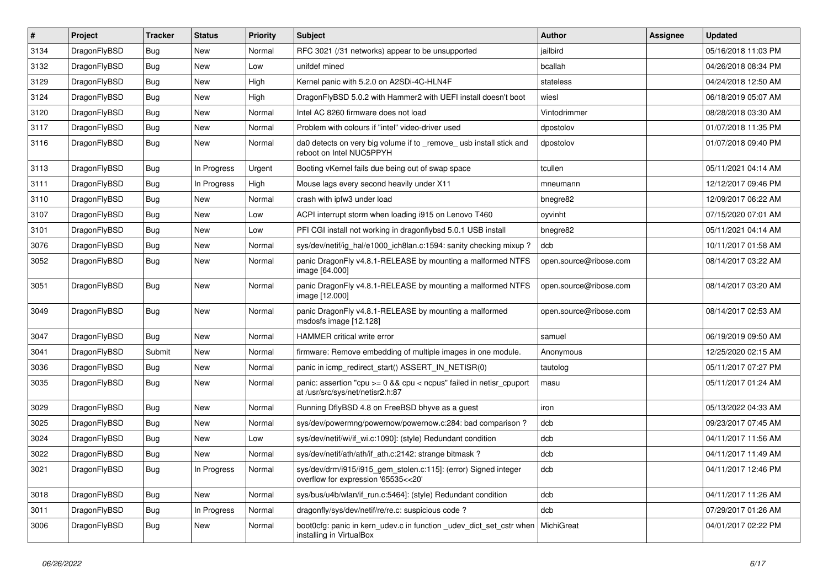| $\sharp$ | Project      | <b>Tracker</b> | <b>Status</b> | <b>Priority</b> | Subject                                                                                                 | Author                 | Assignee | <b>Updated</b>      |
|----------|--------------|----------------|---------------|-----------------|---------------------------------------------------------------------------------------------------------|------------------------|----------|---------------------|
| 3134     | DragonFlyBSD | <b>Bug</b>     | New           | Normal          | RFC 3021 (/31 networks) appear to be unsupported                                                        | jailbird               |          | 05/16/2018 11:03 PM |
| 3132     | DragonFlyBSD | Bug            | New           | Low             | unifdef mined                                                                                           | bcallah                |          | 04/26/2018 08:34 PM |
| 3129     | DragonFlyBSD | Bug            | New           | High            | Kernel panic with 5.2.0 on A2SDi-4C-HLN4F                                                               | stateless              |          | 04/24/2018 12:50 AM |
| 3124     | DragonFlyBSD | Bug            | New           | High            | DragonFlyBSD 5.0.2 with Hammer2 with UEFI install doesn't boot                                          | wiesl                  |          | 06/18/2019 05:07 AM |
| 3120     | DragonFlyBSD | <b>Bug</b>     | New           | Normal          | Intel AC 8260 firmware does not load                                                                    | Vintodrimmer           |          | 08/28/2018 03:30 AM |
| 3117     | DragonFlyBSD | <b>Bug</b>     | <b>New</b>    | Normal          | Problem with colours if "intel" video-driver used                                                       | dpostolov              |          | 01/07/2018 11:35 PM |
| 3116     | DragonFlyBSD | <b>Bug</b>     | New           | Normal          | da0 detects on very big volume if to _remove_ usb install stick and<br>reboot on Intel NUC5PPYH         | dpostolov              |          | 01/07/2018 09:40 PM |
| 3113     | DragonFlyBSD | <b>Bug</b>     | In Progress   | Urgent          | Booting vKernel fails due being out of swap space                                                       | tcullen                |          | 05/11/2021 04:14 AM |
| 3111     | DragonFlyBSD | Bug            | In Progress   | High            | Mouse lags every second heavily under X11                                                               | mneumann               |          | 12/12/2017 09:46 PM |
| 3110     | DragonFlyBSD | <b>Bug</b>     | New           | Normal          | crash with ipfw3 under load                                                                             | bnegre82               |          | 12/09/2017 06:22 AM |
| 3107     | DragonFlyBSD | <b>Bug</b>     | New           | Low             | ACPI interrupt storm when loading i915 on Lenovo T460                                                   | oyvinht                |          | 07/15/2020 07:01 AM |
| 3101     | DragonFlyBSD | <b>Bug</b>     | New           | Low             | PFI CGI install not working in dragonflybsd 5.0.1 USB install                                           | bnegre82               |          | 05/11/2021 04:14 AM |
| 3076     | DragonFlyBSD | <b>Bug</b>     | <b>New</b>    | Normal          | sys/dev/netif/ig hal/e1000 ich8lan.c:1594: sanity checking mixup?                                       | dcb                    |          | 10/11/2017 01:58 AM |
| 3052     | DragonFlyBSD | <b>Bug</b>     | New           | Normal          | panic DragonFly v4.8.1-RELEASE by mounting a malformed NTFS<br>image [64.000]                           | open.source@ribose.com |          | 08/14/2017 03:22 AM |
| 3051     | DragonFlyBSD | Bug            | New           | Normal          | panic DragonFly v4.8.1-RELEASE by mounting a malformed NTFS<br>image [12.000]                           | open.source@ribose.com |          | 08/14/2017 03:20 AM |
| 3049     | DragonFlyBSD | Bug            | <b>New</b>    | Normal          | panic DragonFly v4.8.1-RELEASE by mounting a malformed<br>msdosfs image [12.128]                        | open.source@ribose.com |          | 08/14/2017 02:53 AM |
| 3047     | DragonFlyBSD | Bug            | <b>New</b>    | Normal          | HAMMER critical write error                                                                             | samuel                 |          | 06/19/2019 09:50 AM |
| 3041     | DragonFlyBSD | Submit         | <b>New</b>    | Normal          | firmware: Remove embedding of multiple images in one module.                                            | Anonymous              |          | 12/25/2020 02:15 AM |
| 3036     | DragonFlyBSD | <b>Bug</b>     | <b>New</b>    | Normal          | panic in icmp_redirect_start() ASSERT_IN_NETISR(0)                                                      | tautolog               |          | 05/11/2017 07:27 PM |
| 3035     | DragonFlyBSD | <b>Bug</b>     | <b>New</b>    | Normal          | panic: assertion "cpu >= 0 && cpu < ncpus" failed in netisr_cpuport<br>at /usr/src/sys/net/netisr2.h:87 | masu                   |          | 05/11/2017 01:24 AM |
| 3029     | DragonFlyBSD | Bug            | <b>New</b>    | Normal          | Running DflyBSD 4.8 on FreeBSD bhyve as a guest                                                         | iron                   |          | 05/13/2022 04:33 AM |
| 3025     | DragonFlyBSD | Bug            | New           | Normal          | sys/dev/powermng/powernow/powernow.c:284: bad comparison ?                                              | dcb                    |          | 09/23/2017 07:45 AM |
| 3024     | DragonFlyBSD | <b>Bug</b>     | <b>New</b>    | Low             | sys/dev/netif/wi/if_wi.c:1090]: (style) Redundant condition                                             | dcb                    |          | 04/11/2017 11:56 AM |
| 3022     | DragonFlyBSD | <b>Bug</b>     | New           | Normal          | sys/dev/netif/ath/ath/if_ath.c:2142: strange bitmask?                                                   | dcb                    |          | 04/11/2017 11:49 AM |
| 3021     | DragonFlyBSD | <b>Bug</b>     | In Progress   | Normal          | sys/dev/drm/i915/i915_gem_stolen.c:115]: (error) Signed integer<br>overflow for expression '65535<<20'  | dcb                    |          | 04/11/2017 12:46 PM |
| 3018     | DragonFlyBSD | <b>Bug</b>     | <b>New</b>    | Normal          | sys/bus/u4b/wlan/if_run.c:5464]: (style) Redundant condition                                            | dcb                    |          | 04/11/2017 11:26 AM |
| 3011     | DragonFlyBSD | <b>Bug</b>     | In Progress   | Normal          | dragonfly/sys/dev/netif/re/re.c: suspicious code?                                                       | dcb                    |          | 07/29/2017 01:26 AM |
| 3006     | DragonFlyBSD | <b>Bug</b>     | New           | Normal          | boot0cfg: panic in kern udev.c in function udev dict set cstr when<br>installing in VirtualBox          | MichiGreat             |          | 04/01/2017 02:22 PM |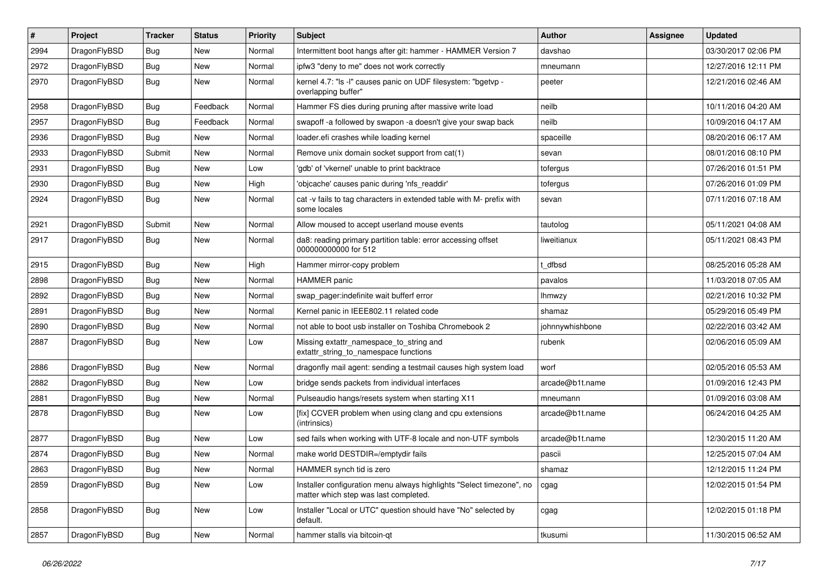| #    | Project      | <b>Tracker</b> | <b>Status</b> | <b>Priority</b> | Subject                                                                                                       | <b>Author</b>   | Assignee | <b>Updated</b>      |
|------|--------------|----------------|---------------|-----------------|---------------------------------------------------------------------------------------------------------------|-----------------|----------|---------------------|
| 2994 | DragonFlyBSD | <b>Bug</b>     | <b>New</b>    | Normal          | Intermittent boot hangs after git: hammer - HAMMER Version 7                                                  | davshao         |          | 03/30/2017 02:06 PM |
| 2972 | DragonFlyBSD | Bug            | <b>New</b>    | Normal          | ipfw3 "deny to me" does not work correctly                                                                    | mneumann        |          | 12/27/2016 12:11 PM |
| 2970 | DragonFlyBSD | Bug            | New           | Normal          | kernel 4.7: "Is -l" causes panic on UDF filesystem: "bgetvp -<br>overlapping buffer"                          | peeter          |          | 12/21/2016 02:46 AM |
| 2958 | DragonFlyBSD | Bug            | Feedback      | Normal          | Hammer FS dies during pruning after massive write load                                                        | neilb           |          | 10/11/2016 04:20 AM |
| 2957 | DragonFlyBSD | <b>Bug</b>     | Feedback      | Normal          | swapoff -a followed by swapon -a doesn't give your swap back                                                  | neilb           |          | 10/09/2016 04:17 AM |
| 2936 | DragonFlyBSD | Bug            | New           | Normal          | loader.efi crashes while loading kernel                                                                       | spaceille       |          | 08/20/2016 06:17 AM |
| 2933 | DragonFlyBSD | Submit         | New           | Normal          | Remove unix domain socket support from cat(1)                                                                 | sevan           |          | 08/01/2016 08:10 PM |
| 2931 | DragonFlyBSD | <b>Bug</b>     | New           | Low             | 'gdb' of 'vkernel' unable to print backtrace                                                                  | tofergus        |          | 07/26/2016 01:51 PM |
| 2930 | DragonFlyBSD | Bug            | <b>New</b>    | High            | 'objcache' causes panic during 'nfs_readdir'                                                                  | tofergus        |          | 07/26/2016 01:09 PM |
| 2924 | DragonFlyBSD | <b>Bug</b>     | New           | Normal          | cat -v fails to tag characters in extended table with M- prefix with<br>some locales                          | sevan           |          | 07/11/2016 07:18 AM |
| 2921 | DragonFlyBSD | Submit         | New           | Normal          | Allow moused to accept userland mouse events                                                                  | tautolog        |          | 05/11/2021 04:08 AM |
| 2917 | DragonFlyBSD | Bug            | New           | Normal          | da8: reading primary partition table: error accessing offset<br>000000000000 for 512                          | liweitianux     |          | 05/11/2021 08:43 PM |
| 2915 | DragonFlyBSD | Bug            | <b>New</b>    | High            | Hammer mirror-copy problem                                                                                    | t dfbsd         |          | 08/25/2016 05:28 AM |
| 2898 | DragonFlyBSD | <b>Bug</b>     | New           | Normal          | <b>HAMMER</b> panic                                                                                           | pavalos         |          | 11/03/2018 07:05 AM |
| 2892 | DragonFlyBSD | Bug            | New           | Normal          | swap pager:indefinite wait bufferf error                                                                      | <b>Ihmwzy</b>   |          | 02/21/2016 10:32 PM |
| 2891 | DragonFlyBSD | <b>Bug</b>     | New           | Normal          | Kernel panic in IEEE802.11 related code                                                                       | shamaz          |          | 05/29/2016 05:49 PM |
| 2890 | DragonFlyBSD | <b>Bug</b>     | <b>New</b>    | Normal          | not able to boot usb installer on Toshiba Chromebook 2                                                        | johnnywhishbone |          | 02/22/2016 03:42 AM |
| 2887 | DragonFlyBSD | <b>Bug</b>     | New           | Low             | Missing extattr_namespace_to_string and<br>extattr_string_to_namespace functions                              | rubenk          |          | 02/06/2016 05:09 AM |
| 2886 | DragonFlyBSD | Bug            | New           | Normal          | dragonfly mail agent: sending a testmail causes high system load                                              | worf            |          | 02/05/2016 05:53 AM |
| 2882 | DragonFlyBSD | <b>Bug</b>     | <b>New</b>    | Low             | bridge sends packets from individual interfaces                                                               | arcade@b1t.name |          | 01/09/2016 12:43 PM |
| 2881 | DragonFlyBSD | <b>Bug</b>     | New           | Normal          | Pulseaudio hangs/resets system when starting X11                                                              | mneumann        |          | 01/09/2016 03:08 AM |
| 2878 | DragonFlyBSD | Bug            | New           | Low             | [fix] CCVER problem when using clang and cpu extensions<br>(intrinsics)                                       | arcade@b1t.name |          | 06/24/2016 04:25 AM |
| 2877 | DragonFlyBSD | Bug            | New           | Low             | sed fails when working with UTF-8 locale and non-UTF symbols                                                  | arcade@b1t.name |          | 12/30/2015 11:20 AM |
| 2874 | DragonFlyBSD | <b>Bug</b>     | New           | Normal          | make world DESTDIR=/emptydir fails                                                                            | pascii          |          | 12/25/2015 07:04 AM |
| 2863 | DragonFlyBSD | <b>Bug</b>     | New           | Normal          | HAMMER synch tid is zero                                                                                      | snamaz          |          | 12/12/2015 11:24 PM |
| 2859 | DragonFlyBSD | <b>Bug</b>     | New           | Low             | Installer configuration menu always highlights "Select timezone", no<br>matter which step was last completed. | cgag            |          | 12/02/2015 01:54 PM |
| 2858 | DragonFlyBSD | <b>Bug</b>     | New           | Low             | Installer "Local or UTC" question should have "No" selected by<br>default.                                    | cgag            |          | 12/02/2015 01:18 PM |
| 2857 | DragonFlyBSD | <b>Bug</b>     | New           | Normal          | hammer stalls via bitcoin-qt                                                                                  | tkusumi         |          | 11/30/2015 06:52 AM |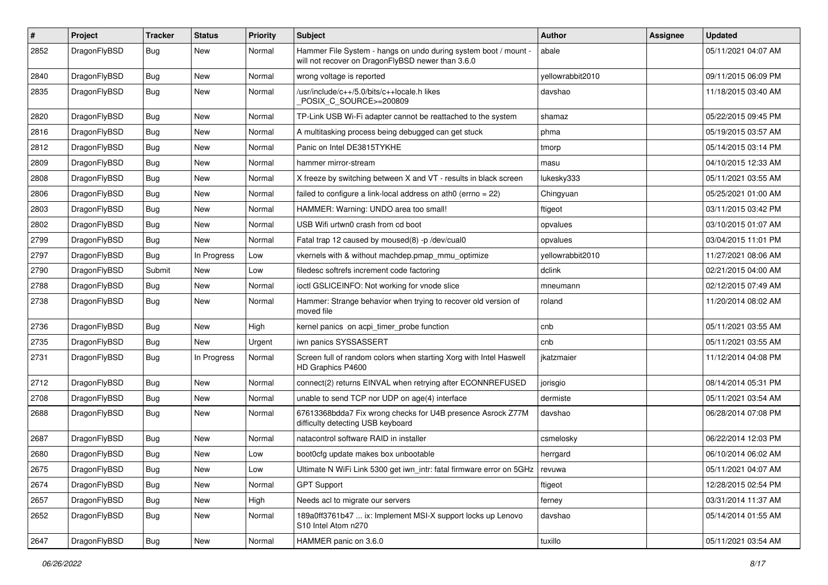| $\pmb{\#}$ | Project      | <b>Tracker</b> | <b>Status</b> | <b>Priority</b> | <b>Subject</b>                                                                                                       | Author           | Assignee | <b>Updated</b>      |
|------------|--------------|----------------|---------------|-----------------|----------------------------------------------------------------------------------------------------------------------|------------------|----------|---------------------|
| 2852       | DragonFlyBSD | <b>Bug</b>     | New           | Normal          | Hammer File System - hangs on undo during system boot / mount -<br>will not recover on DragonFlyBSD newer than 3.6.0 | abale            |          | 05/11/2021 04:07 AM |
| 2840       | DragonFlyBSD | <b>Bug</b>     | New           | Normal          | wrong voltage is reported                                                                                            | yellowrabbit2010 |          | 09/11/2015 06:09 PM |
| 2835       | DragonFlyBSD | <b>Bug</b>     | New           | Normal          | /usr/include/c++/5.0/bits/c++locale.h likes<br>POSIX_C_SOURCE>=200809                                                | davshao          |          | 11/18/2015 03:40 AM |
| 2820       | DragonFlyBSD | <b>Bug</b>     | New           | Normal          | TP-Link USB Wi-Fi adapter cannot be reattached to the system                                                         | shamaz           |          | 05/22/2015 09:45 PM |
| 2816       | DragonFlyBSD | <b>Bug</b>     | New           | Normal          | A multitasking process being debugged can get stuck                                                                  | phma             |          | 05/19/2015 03:57 AM |
| 2812       | DragonFlyBSD | <b>Bug</b>     | New           | Normal          | Panic on Intel DE3815TYKHE                                                                                           | tmorp            |          | 05/14/2015 03:14 PM |
| 2809       | DragonFlyBSD | <b>Bug</b>     | New           | Normal          | hammer mirror-stream                                                                                                 | masu             |          | 04/10/2015 12:33 AM |
| 2808       | DragonFlyBSD | <b>Bug</b>     | New           | Normal          | X freeze by switching between X and VT - results in black screen                                                     | lukesky333       |          | 05/11/2021 03:55 AM |
| 2806       | DragonFlyBSD | <b>Bug</b>     | New           | Normal          | failed to configure a link-local address on ath $0$ (errno = 22)                                                     | Chingyuan        |          | 05/25/2021 01:00 AM |
| 2803       | DragonFlyBSD | <b>Bug</b>     | New           | Normal          | HAMMER: Warning: UNDO area too small!                                                                                | ftigeot          |          | 03/11/2015 03:42 PM |
| 2802       | DragonFlyBSD | <b>Bug</b>     | New           | Normal          | USB Wifi urtwn0 crash from cd boot                                                                                   | opvalues         |          | 03/10/2015 01:07 AM |
| 2799       | DragonFlyBSD | <b>Bug</b>     | New           | Normal          | Fatal trap 12 caused by moused(8) -p/dev/cual0                                                                       | opvalues         |          | 03/04/2015 11:01 PM |
| 2797       | DragonFlyBSD | Bug            | In Progress   | Low             | vkernels with & without machdep.pmap_mmu_optimize                                                                    | yellowrabbit2010 |          | 11/27/2021 08:06 AM |
| 2790       | DragonFlyBSD | Submit         | New           | Low             | filedesc softrefs increment code factoring                                                                           | dclink           |          | 02/21/2015 04:00 AM |
| 2788       | DragonFlyBSD | <b>Bug</b>     | New           | Normal          | ioctl GSLICEINFO: Not working for vnode slice                                                                        | mneumann         |          | 02/12/2015 07:49 AM |
| 2738       | DragonFlyBSD | <b>Bug</b>     | New           | Normal          | Hammer: Strange behavior when trying to recover old version of<br>moved file                                         | roland           |          | 11/20/2014 08:02 AM |
| 2736       | DragonFlyBSD | <b>Bug</b>     | New           | High            | kernel panics on acpi_timer_probe function                                                                           | cnb              |          | 05/11/2021 03:55 AM |
| 2735       | DragonFlyBSD | <b>Bug</b>     | New           | Urgent          | iwn panics SYSSASSERT                                                                                                | cnb              |          | 05/11/2021 03:55 AM |
| 2731       | DragonFlyBSD | <b>Bug</b>     | In Progress   | Normal          | Screen full of random colors when starting Xorg with Intel Haswell<br>HD Graphics P4600                              | jkatzmaier       |          | 11/12/2014 04:08 PM |
| 2712       | DragonFlyBSD | <b>Bug</b>     | <b>New</b>    | Normal          | connect(2) returns EINVAL when retrying after ECONNREFUSED                                                           | jorisgio         |          | 08/14/2014 05:31 PM |
| 2708       | DragonFlyBSD | <b>Bug</b>     | New           | Normal          | unable to send TCP nor UDP on age(4) interface                                                                       | dermiste         |          | 05/11/2021 03:54 AM |
| 2688       | DragonFlyBSD | Bug            | New           | Normal          | 67613368bdda7 Fix wrong checks for U4B presence Asrock Z77M<br>difficulty detecting USB keyboard                     | davshao          |          | 06/28/2014 07:08 PM |
| 2687       | DragonFlyBSD | <b>Bug</b>     | New           | Normal          | natacontrol software RAID in installer                                                                               | csmelosky        |          | 06/22/2014 12:03 PM |
| 2680       | DragonFlyBSD | <b>Bug</b>     | New           | Low             | boot0cfg update makes box unbootable                                                                                 | herrgard         |          | 06/10/2014 06:02 AM |
| 2675       | DragonFlyBSD | <b>Bug</b>     | I New         | Low             | Ultimate N WiFi Link 5300 get iwn_intr: fatal firmware error on 5GHz   revuwa                                        |                  |          | 05/11/2021 04:07 AM |
| 2674       | DragonFlyBSD | <b>Bug</b>     | New           | Normal          | <b>GPT Support</b>                                                                                                   | ftigeot          |          | 12/28/2015 02:54 PM |
| 2657       | DragonFlyBSD | <b>Bug</b>     | New           | High            | Needs acl to migrate our servers                                                                                     | ferney           |          | 03/31/2014 11:37 AM |
| 2652       | DragonFlyBSD | Bug            | New           | Normal          | 189a0ff3761b47  ix: Implement MSI-X support locks up Lenovo<br>S10 Intel Atom n270                                   | davshao          |          | 05/14/2014 01:55 AM |
| 2647       | DragonFlyBSD | <b>Bug</b>     | New           | Normal          | HAMMER panic on 3.6.0                                                                                                | tuxillo          |          | 05/11/2021 03:54 AM |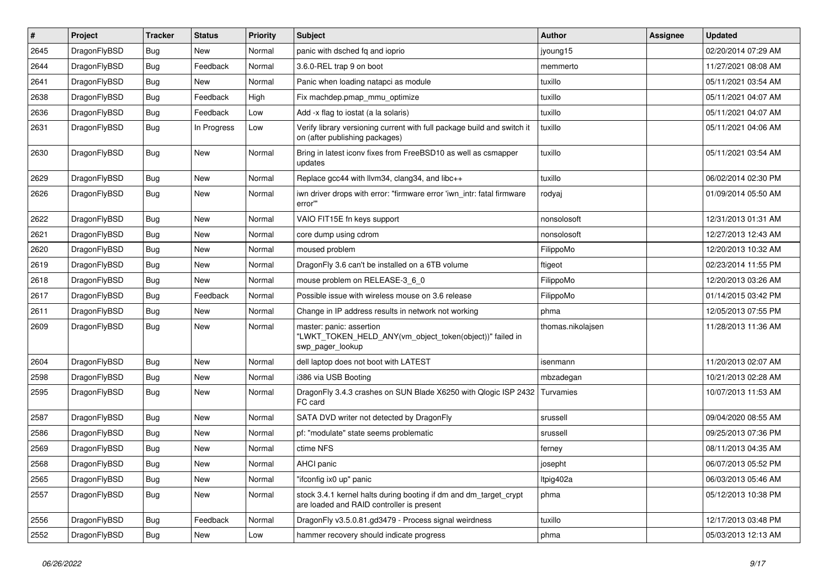| $\vert$ # | Project      | <b>Tracker</b> | <b>Status</b> | <b>Priority</b> | <b>Subject</b>                                                                                                 | Author            | <b>Assignee</b> | <b>Updated</b>      |
|-----------|--------------|----------------|---------------|-----------------|----------------------------------------------------------------------------------------------------------------|-------------------|-----------------|---------------------|
| 2645      | DragonFlyBSD | Bug            | <b>New</b>    | Normal          | panic with dsched fq and ioprio                                                                                | jyoung15          |                 | 02/20/2014 07:29 AM |
| 2644      | DragonFlyBSD | <b>Bug</b>     | Feedback      | Normal          | 3.6.0-REL trap 9 on boot                                                                                       | memmerto          |                 | 11/27/2021 08:08 AM |
| 2641      | DragonFlyBSD | <b>Bug</b>     | <b>New</b>    | Normal          | Panic when loading natapci as module                                                                           | tuxillo           |                 | 05/11/2021 03:54 AM |
| 2638      | DragonFlyBSD | Bug            | Feedback      | High            | Fix machdep.pmap_mmu_optimize                                                                                  | tuxillo           |                 | 05/11/2021 04:07 AM |
| 2636      | DragonFlyBSD | <b>Bug</b>     | Feedback      | Low             | Add -x flag to iostat (a la solaris)                                                                           | tuxillo           |                 | 05/11/2021 04:07 AM |
| 2631      | DragonFlyBSD | Bug            | In Progress   | Low             | Verify library versioning current with full package build and switch it<br>on (after publishing packages)      | tuxillo           |                 | 05/11/2021 04:06 AM |
| 2630      | DragonFlyBSD | <b>Bug</b>     | New           | Normal          | Bring in latest iconv fixes from FreeBSD10 as well as csmapper<br>updates                                      | tuxillo           |                 | 05/11/2021 03:54 AM |
| 2629      | DragonFlyBSD | <b>Bug</b>     | <b>New</b>    | Normal          | Replace gcc44 with llvm34, clang34, and libc++                                                                 | tuxillo           |                 | 06/02/2014 02:30 PM |
| 2626      | DragonFlyBSD | Bug            | <b>New</b>    | Normal          | iwn driver drops with error: "firmware error 'iwn_intr: fatal firmware<br>error""                              | rodyaj            |                 | 01/09/2014 05:50 AM |
| 2622      | DragonFlyBSD | <b>Bug</b>     | New           | Normal          | VAIO FIT15E fn keys support                                                                                    | nonsolosoft       |                 | 12/31/2013 01:31 AM |
| 2621      | DragonFlyBSD | <b>Bug</b>     | <b>New</b>    | Normal          | core dump using cdrom                                                                                          | nonsolosoft       |                 | 12/27/2013 12:43 AM |
| 2620      | DragonFlyBSD | Bug            | <b>New</b>    | Normal          | moused problem                                                                                                 | FilippoMo         |                 | 12/20/2013 10:32 AM |
| 2619      | DragonFlyBSD | Bug            | <b>New</b>    | Normal          | DragonFly 3.6 can't be installed on a 6TB volume                                                               | ftigeot           |                 | 02/23/2014 11:55 PM |
| 2618      | DragonFlyBSD | <b>Bug</b>     | <b>New</b>    | Normal          | mouse problem on RELEASE-3_6_0                                                                                 | FilippoMo         |                 | 12/20/2013 03:26 AM |
| 2617      | DragonFlyBSD | <b>Bug</b>     | Feedback      | Normal          | Possible issue with wireless mouse on 3.6 release                                                              | FilippoMo         |                 | 01/14/2015 03:42 PM |
| 2611      | DragonFlyBSD | <b>Bug</b>     | <b>New</b>    | Normal          | Change in IP address results in network not working                                                            | phma              |                 | 12/05/2013 07:55 PM |
| 2609      | DragonFlyBSD | Bug            | New           | Normal          | master: panic: assertion<br>"LWKT_TOKEN_HELD_ANY(vm_object_token(object))" failed in<br>swp pager lookup       | thomas.nikolajsen |                 | 11/28/2013 11:36 AM |
| 2604      | DragonFlyBSD | Bug            | <b>New</b>    | Normal          | dell laptop does not boot with LATEST                                                                          | isenmann          |                 | 11/20/2013 02:07 AM |
| 2598      | DragonFlyBSD | <b>Bug</b>     | <b>New</b>    | Normal          | i386 via USB Booting                                                                                           | mbzadegan         |                 | 10/21/2013 02:28 AM |
| 2595      | DragonFlyBSD | Bug            | <b>New</b>    | Normal          | DragonFly 3.4.3 crashes on SUN Blade X6250 with Qlogic ISP 2432<br>FC card                                     | Turvamies         |                 | 10/07/2013 11:53 AM |
| 2587      | DragonFlyBSD | <b>Bug</b>     | <b>New</b>    | Normal          | SATA DVD writer not detected by DragonFly                                                                      | srussell          |                 | 09/04/2020 08:55 AM |
| 2586      | DragonFlyBSD | Bug            | <b>New</b>    | Normal          | pf: "modulate" state seems problematic                                                                         | srussell          |                 | 09/25/2013 07:36 PM |
| 2569      | DragonFlyBSD | <b>Bug</b>     | <b>New</b>    | Normal          | ctime NFS                                                                                                      | ferney            |                 | 08/11/2013 04:35 AM |
| 2568      | DragonFlyBSD | Bug            | New           | Normal          | AHCI panic                                                                                                     | josepht           |                 | 06/07/2013 05:52 PM |
| 2565      | DragonFlyBSD | Bug            | New           | Normal          | "ifconfig ix0 up" panic                                                                                        | ltpig402a         |                 | 06/03/2013 05:46 AM |
| 2557      | DragonFlyBSD | <b>Bug</b>     | New           | Normal          | stock 3.4.1 kernel halts during booting if dm and dm_target_crypt<br>are loaded and RAID controller is present | phma              |                 | 05/12/2013 10:38 PM |
| 2556      | DragonFlyBSD | <b>Bug</b>     | Feedback      | Normal          | DragonFly v3.5.0.81.gd3479 - Process signal weirdness                                                          | tuxillo           |                 | 12/17/2013 03:48 PM |
| 2552      | DragonFlyBSD | <b>Bug</b>     | New           | Low             | hammer recovery should indicate progress                                                                       | phma              |                 | 05/03/2013 12:13 AM |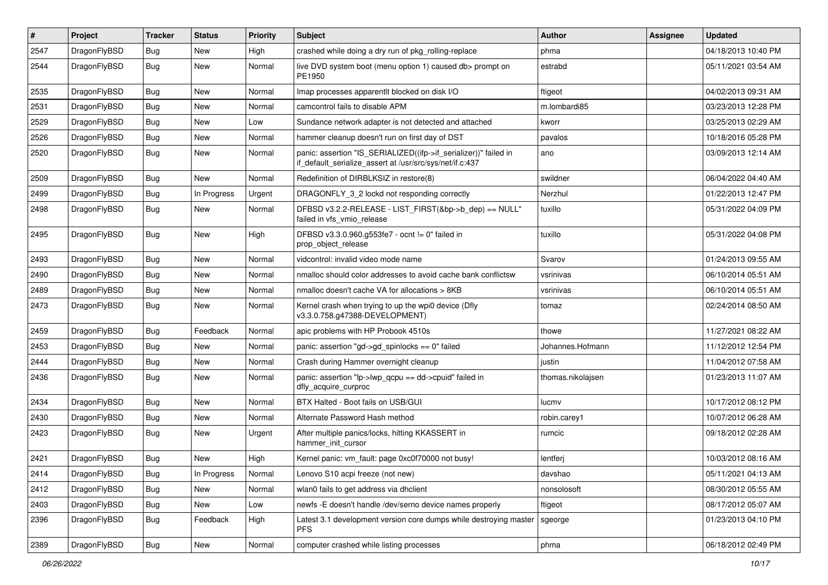| #    | Project      | <b>Tracker</b> | <b>Status</b> | <b>Priority</b> | Subject                                                                                                                      | <b>Author</b>     | Assignee | <b>Updated</b>      |
|------|--------------|----------------|---------------|-----------------|------------------------------------------------------------------------------------------------------------------------------|-------------------|----------|---------------------|
| 2547 | DragonFlyBSD | <b>Bug</b>     | New           | High            | crashed while doing a dry run of pkg_rolling-replace                                                                         | phma              |          | 04/18/2013 10:40 PM |
| 2544 | DragonFlyBSD | <b>Bug</b>     | New           | Normal          | live DVD system boot (menu option 1) caused db> prompt on<br>PE1950                                                          | estrabd           |          | 05/11/2021 03:54 AM |
| 2535 | DragonFlyBSD | <b>Bug</b>     | <b>New</b>    | Normal          | Imap processes apparentlt blocked on disk I/O                                                                                | ftigeot           |          | 04/02/2013 09:31 AM |
| 2531 | DragonFlyBSD | Bug            | <b>New</b>    | Normal          | camcontrol fails to disable APM                                                                                              | m.lombardi85      |          | 03/23/2013 12:28 PM |
| 2529 | DragonFlyBSD | <b>Bug</b>     | New           | Low             | Sundance network adapter is not detected and attached                                                                        | kworr             |          | 03/25/2013 02:29 AM |
| 2526 | DragonFlyBSD | Bug            | New           | Normal          | hammer cleanup doesn't run on first day of DST                                                                               | pavalos           |          | 10/18/2016 05:28 PM |
| 2520 | DragonFlyBSD | Bug            | <b>New</b>    | Normal          | panic: assertion "IS_SERIALIZED((ifp->if_serializer))" failed in<br>if_default_serialize_assert at /usr/src/sys/net/if.c:437 | ano               |          | 03/09/2013 12:14 AM |
| 2509 | DragonFlyBSD | Bug            | New           | Normal          | Redefinition of DIRBLKSIZ in restore(8)                                                                                      | swildner          |          | 06/04/2022 04:40 AM |
| 2499 | DragonFlyBSD | <b>Bug</b>     | In Progress   | Urgent          | DRAGONFLY_3_2 lockd not responding correctly                                                                                 | Nerzhul           |          | 01/22/2013 12:47 PM |
| 2498 | DragonFlyBSD | Bug            | <b>New</b>    | Normal          | DFBSD v3.2.2-RELEASE - LIST_FIRST(&bp->b_dep) == NULL"<br>failed in vfs_vmio_release                                         | tuxillo           |          | 05/31/2022 04:09 PM |
| 2495 | DragonFlyBSD | <b>Bug</b>     | New           | High            | DFBSD v3.3.0.960.g553fe7 - ocnt != 0" failed in<br>prop_object_release                                                       | tuxillo           |          | 05/31/2022 04:08 PM |
| 2493 | DragonFlyBSD | Bug            | <b>New</b>    | Normal          | vidcontrol: invalid video mode name                                                                                          | Svarov            |          | 01/24/2013 09:55 AM |
| 2490 | DragonFlyBSD | Bug            | <b>New</b>    | Normal          | nmalloc should color addresses to avoid cache bank conflictsw                                                                | vsrinivas         |          | 06/10/2014 05:51 AM |
| 2489 | DragonFlyBSD | Bug            | New           | Normal          | nmalloc doesn't cache VA for allocations > 8KB                                                                               | vsrinivas         |          | 06/10/2014 05:51 AM |
| 2473 | DragonFlyBSD | Bug            | <b>New</b>    | Normal          | Kernel crash when trying to up the wpi0 device (Dfly<br>v3.3.0.758.g47388-DEVELOPMENT)                                       | tomaz             |          | 02/24/2014 08:50 AM |
| 2459 | DragonFlyBSD | Bug            | Feedback      | Normal          | apic problems with HP Probook 4510s                                                                                          | thowe             |          | 11/27/2021 08:22 AM |
| 2453 | DragonFlyBSD | Bug            | <b>New</b>    | Normal          | panic: assertion "gd->gd_spinlocks == 0" failed                                                                              | Johannes.Hofmann  |          | 11/12/2012 12:54 PM |
| 2444 | DragonFlyBSD | Bug            | New           | Normal          | Crash during Hammer overnight cleanup                                                                                        | justin            |          | 11/04/2012 07:58 AM |
| 2436 | DragonFlyBSD | Bug            | <b>New</b>    | Normal          | panic: assertion "lp->lwp_qcpu == dd->cpuid" failed in<br>dfly_acquire_curproc                                               | thomas.nikolajsen |          | 01/23/2013 11:07 AM |
| 2434 | DragonFlyBSD | <b>Bug</b>     | New           | Normal          | BTX Halted - Boot fails on USB/GUI                                                                                           | lucmv             |          | 10/17/2012 08:12 PM |
| 2430 | DragonFlyBSD | <b>Bug</b>     | <b>New</b>    | Normal          | Alternate Password Hash method                                                                                               | robin.carey1      |          | 10/07/2012 06:28 AM |
| 2423 | DragonFlyBSD | <b>Bug</b>     | New           | Urgent          | After multiple panics/locks, hitting KKASSERT in<br>hammer init cursor                                                       | rumcic            |          | 09/18/2012 02:28 AM |
| 2421 | DragonFlyBSD | Bug            | <b>New</b>    | High            | Kernel panic: vm_fault: page 0xc0f70000 not busy!                                                                            | lentferj          |          | 10/03/2012 08:16 AM |
| 2414 | DragonFlyBSD | <b>Bug</b>     | In Progress   | Normal          | Lenovo S10 acpi freeze (not new)                                                                                             | davshao           |          | 05/11/2021 04:13 AM |
| 2412 | DragonFlyBSD | <b>Bug</b>     | New           | Normal          | wlan0 fails to get address via dhclient                                                                                      | nonsolosoft       |          | 08/30/2012 05:55 AM |
| 2403 | DragonFlyBSD | <b>Bug</b>     | New           | Low             | newfs -E doesn't handle /dev/serno device names properly                                                                     | ftigeot           |          | 08/17/2012 05:07 AM |
| 2396 | DragonFlyBSD | Bug            | Feedback      | High            | Latest 3.1 development version core dumps while destroying master<br><b>PFS</b>                                              | sgeorge           |          | 01/23/2013 04:10 PM |
| 2389 | DragonFlyBSD | <b>Bug</b>     | New           | Normal          | computer crashed while listing processes                                                                                     | phma              |          | 06/18/2012 02:49 PM |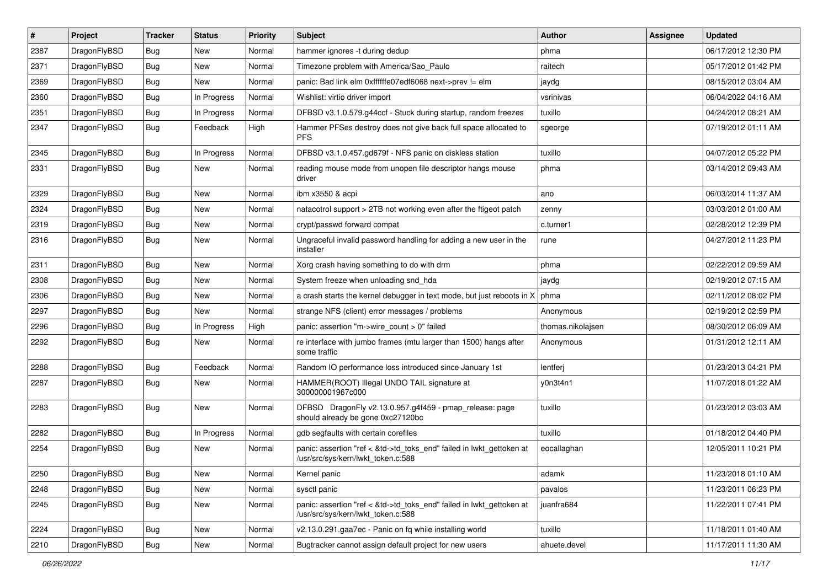| $\vert$ # | Project      | <b>Tracker</b> | <b>Status</b> | <b>Priority</b> | <b>Subject</b>                                                                                             | <b>Author</b>     | <b>Assignee</b> | <b>Updated</b>      |
|-----------|--------------|----------------|---------------|-----------------|------------------------------------------------------------------------------------------------------------|-------------------|-----------------|---------------------|
| 2387      | DragonFlyBSD | <b>Bug</b>     | <b>New</b>    | Normal          | hammer ignores -t during dedup                                                                             | phma              |                 | 06/17/2012 12:30 PM |
| 2371      | DragonFlyBSD | <b>Bug</b>     | <b>New</b>    | Normal          | Timezone problem with America/Sao_Paulo                                                                    | raitech           |                 | 05/17/2012 01:42 PM |
| 2369      | DragonFlyBSD | <b>Bug</b>     | New           | Normal          | panic: Bad link elm 0xffffffe07edf6068 next->prev != elm                                                   | jaydg             |                 | 08/15/2012 03:04 AM |
| 2360      | DragonFlyBSD | Bug            | In Progress   | Normal          | Wishlist: virtio driver import                                                                             | vsrinivas         |                 | 06/04/2022 04:16 AM |
| 2351      | DragonFlyBSD | <b>Bug</b>     | In Progress   | Normal          | DFBSD v3.1.0.579.g44ccf - Stuck during startup, random freezes                                             | tuxillo           |                 | 04/24/2012 08:21 AM |
| 2347      | DragonFlyBSD | <b>Bug</b>     | Feedback      | High            | Hammer PFSes destroy does not give back full space allocated to<br><b>PFS</b>                              | sgeorge           |                 | 07/19/2012 01:11 AM |
| 2345      | DragonFlyBSD | <b>Bug</b>     | In Progress   | Normal          | DFBSD v3.1.0.457.gd679f - NFS panic on diskless station                                                    | tuxillo           |                 | 04/07/2012 05:22 PM |
| 2331      | DragonFlyBSD | <b>Bug</b>     | <b>New</b>    | Normal          | reading mouse mode from unopen file descriptor hangs mouse<br>driver                                       | phma              |                 | 03/14/2012 09:43 AM |
| 2329      | DragonFlyBSD | <b>Bug</b>     | <b>New</b>    | Normal          | ibm x3550 & acpi                                                                                           | ano               |                 | 06/03/2014 11:37 AM |
| 2324      | DragonFlyBSD | Bug            | <b>New</b>    | Normal          | natacotrol support > 2TB not working even after the ftigeot patch                                          | zenny             |                 | 03/03/2012 01:00 AM |
| 2319      | DragonFlyBSD | <b>Bug</b>     | <b>New</b>    | Normal          | crypt/passwd forward compat                                                                                | c.turner1         |                 | 02/28/2012 12:39 PM |
| 2316      | DragonFlyBSD | Bug            | New           | Normal          | Ungraceful invalid password handling for adding a new user in the<br>installer                             | rune              |                 | 04/27/2012 11:23 PM |
| 2311      | DragonFlyBSD | <b>Bug</b>     | <b>New</b>    | Normal          | Xorg crash having something to do with drm                                                                 | phma              |                 | 02/22/2012 09:59 AM |
| 2308      | DragonFlyBSD | <b>Bug</b>     | <b>New</b>    | Normal          | System freeze when unloading snd_hda                                                                       | jaydg             |                 | 02/19/2012 07:15 AM |
| 2306      | DragonFlyBSD | Bug            | <b>New</b>    | Normal          | a crash starts the kernel debugger in text mode, but just reboots in X                                     | phma              |                 | 02/11/2012 08:02 PM |
| 2297      | DragonFlyBSD | <b>Bug</b>     | New           | Normal          | strange NFS (client) error messages / problems                                                             | Anonymous         |                 | 02/19/2012 02:59 PM |
| 2296      | DragonFlyBSD | Bug            | In Progress   | High            | panic: assertion "m->wire_count > 0" failed                                                                | thomas.nikolajsen |                 | 08/30/2012 06:09 AM |
| 2292      | DragonFlyBSD | Bug            | New           | Normal          | re interface with jumbo frames (mtu larger than 1500) hangs after<br>some traffic                          | Anonymous         |                 | 01/31/2012 12:11 AM |
| 2288      | DragonFlyBSD | Bug            | Feedback      | Normal          | Random IO performance loss introduced since January 1st                                                    | lentferj          |                 | 01/23/2013 04:21 PM |
| 2287      | DragonFlyBSD | Bug            | <b>New</b>    | Normal          | HAMMER(ROOT) Illegal UNDO TAIL signature at<br>300000001967c000                                            | y0n3t4n1          |                 | 11/07/2018 01:22 AM |
| 2283      | DragonFlyBSD | Bug            | <b>New</b>    | Normal          | DFBSD DragonFly v2.13.0.957.g4f459 - pmap_release: page<br>should already be gone 0xc27120bc               | tuxillo           |                 | 01/23/2012 03:03 AM |
| 2282      | DragonFlyBSD | Bug            | In Progress   | Normal          | gdb segfaults with certain corefiles                                                                       | tuxillo           |                 | 01/18/2012 04:40 PM |
| 2254      | DragonFlyBSD | <b>Bug</b>     | <b>New</b>    | Normal          | panic: assertion "ref < &td->td_toks_end" failed in lwkt_gettoken at<br>/usr/src/sys/kern/lwkt_token.c:588 | eocallaghan       |                 | 12/05/2011 10:21 PM |
| 2250      | DragonFlyBSD | <b>Bug</b>     | New           | Normal          | Kernel panic                                                                                               | adamk             |                 | 11/23/2018 01:10 AM |
| 2248      | DragonFlyBSD | <b>Bug</b>     | New           | Normal          | sysctl panic                                                                                               | pavalos           |                 | 11/23/2011 06:23 PM |
| 2245      | DragonFlyBSD | <b>Bug</b>     | New           | Normal          | panic: assertion "ref < &td->td toks end" failed in lwkt gettoken at<br>/usr/src/sys/kern/lwkt token.c:588 | juanfra684        |                 | 11/22/2011 07:41 PM |
| 2224      | DragonFlyBSD | <b>Bug</b>     | New           | Normal          | v2.13.0.291.gaa7ec - Panic on fq while installing world                                                    | tuxillo           |                 | 11/18/2011 01:40 AM |
| 2210      | DragonFlyBSD | <b>Bug</b>     | New           | Normal          | Bugtracker cannot assign default project for new users                                                     | ahuete.devel      |                 | 11/17/2011 11:30 AM |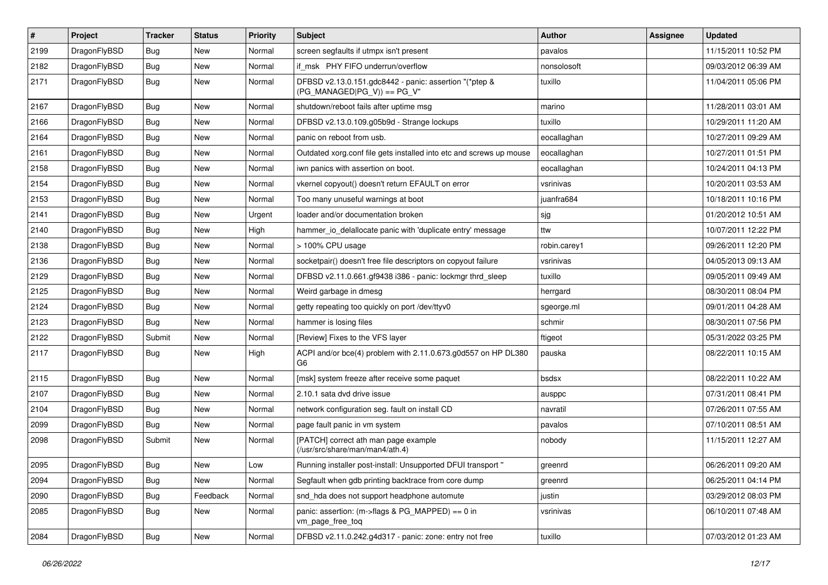| $\sharp$ | Project      | <b>Tracker</b> | <b>Status</b> | <b>Priority</b> | Subject                                                                                | Author       | Assignee | <b>Updated</b>      |
|----------|--------------|----------------|---------------|-----------------|----------------------------------------------------------------------------------------|--------------|----------|---------------------|
| 2199     | DragonFlyBSD | <b>Bug</b>     | <b>New</b>    | Normal          | screen segfaults if utmpx isn't present                                                | pavalos      |          | 11/15/2011 10:52 PM |
| 2182     | DragonFlyBSD | <b>Bug</b>     | <b>New</b>    | Normal          | if msk PHY FIFO underrun/overflow                                                      | nonsolosoft  |          | 09/03/2012 06:39 AM |
| 2171     | DragonFlyBSD | <b>Bug</b>     | New           | Normal          | DFBSD v2.13.0.151.gdc8442 - panic: assertion "(*ptep &<br>$(PG_MANAGED PG_V)$ == PG_V" | tuxillo      |          | 11/04/2011 05:06 PM |
| 2167     | DragonFlyBSD | <b>Bug</b>     | <b>New</b>    | Normal          | shutdown/reboot fails after uptime msg                                                 | marino       |          | 11/28/2011 03:01 AM |
| 2166     | DragonFlyBSD | <b>Bug</b>     | <b>New</b>    | Normal          | DFBSD v2.13.0.109.g05b9d - Strange lockups                                             | tuxillo      |          | 10/29/2011 11:20 AM |
| 2164     | DragonFlyBSD | <b>Bug</b>     | <b>New</b>    | Normal          | panic on reboot from usb.                                                              | eocallaghan  |          | 10/27/2011 09:29 AM |
| 2161     | DragonFlyBSD | <b>Bug</b>     | <b>New</b>    | Normal          | Outdated xorg.conf file gets installed into etc and screws up mouse                    | eocallaghan  |          | 10/27/2011 01:51 PM |
| 2158     | DragonFlyBSD | <b>Bug</b>     | New           | Normal          | iwn panics with assertion on boot.                                                     | eocallaghan  |          | 10/24/2011 04:13 PM |
| 2154     | DragonFlyBSD | Bug            | <b>New</b>    | Normal          | vkernel copyout() doesn't return EFAULT on error                                       | vsrinivas    |          | 10/20/2011 03:53 AM |
| 2153     | DragonFlyBSD | Bug            | New           | Normal          | Too many unuseful warnings at boot                                                     | juanfra684   |          | 10/18/2011 10:16 PM |
| 2141     | DragonFlyBSD | Bug            | New           | Urgent          | loader and/or documentation broken                                                     | sjg          |          | 01/20/2012 10:51 AM |
| 2140     | DragonFlyBSD | Bug            | <b>New</b>    | High            | hammer_io_delallocate panic with 'duplicate entry' message                             | ttw          |          | 10/07/2011 12:22 PM |
| 2138     | DragonFlyBSD | <b>Bug</b>     | New           | Normal          | > 100% CPU usage                                                                       | robin.carey1 |          | 09/26/2011 12:20 PM |
| 2136     | DragonFlyBSD | Bug            | New           | Normal          | socketpair() doesn't free file descriptors on copyout failure                          | vsrinivas    |          | 04/05/2013 09:13 AM |
| 2129     | DragonFlyBSD | Bug            | New           | Normal          | DFBSD v2.11.0.661.gf9438 i386 - panic: lockmgr thrd sleep                              | tuxillo      |          | 09/05/2011 09:49 AM |
| 2125     | DragonFlyBSD | Bug            | <b>New</b>    | Normal          | Weird garbage in dmesg                                                                 | herrgard     |          | 08/30/2011 08:04 PM |
| 2124     | DragonFlyBSD | Bug            | New           | Normal          | getty repeating too quickly on port /dev/ttyv0                                         | sgeorge.ml   |          | 09/01/2011 04:28 AM |
| 2123     | DragonFlyBSD | <b>Bug</b>     | New           | Normal          | hammer is losing files                                                                 | schmir       |          | 08/30/2011 07:56 PM |
| 2122     | DragonFlyBSD | Submit         | New           | Normal          | [Review] Fixes to the VFS layer                                                        | ftigeot      |          | 05/31/2022 03:25 PM |
| 2117     | DragonFlyBSD | Bug            | New           | High            | ACPI and/or bce(4) problem with 2.11.0.673.g0d557 on HP DL380<br>G6                    | pauska       |          | 08/22/2011 10:15 AM |
| 2115     | DragonFlyBSD | Bug            | <b>New</b>    | Normal          | [msk] system freeze after receive some paquet                                          | bsdsx        |          | 08/22/2011 10:22 AM |
| 2107     | DragonFlyBSD | Bug            | New           | Normal          | 2.10.1 sata dvd drive issue                                                            | ausppc       |          | 07/31/2011 08:41 PM |
| 2104     | DragonFlyBSD | Bug            | <b>New</b>    | Normal          | network configuration seg. fault on install CD                                         | navratil     |          | 07/26/2011 07:55 AM |
| 2099     | DragonFlyBSD | Bug            | New           | Normal          | page fault panic in vm system                                                          | pavalos      |          | 07/10/2011 08:51 AM |
| 2098     | DragonFlyBSD | Submit         | New           | Normal          | [PATCH] correct ath man page example<br>(/usr/src/share/man/man4/ath.4)                | nobody       |          | 11/15/2011 12:27 AM |
| 2095     | DragonFlyBSD | Bug            | New           | Low             | Running installer post-install: Unsupported DFUI transport "                           | greenrd      |          | 06/26/2011 09:20 AM |
| 2094     | DragonFlyBSD | <b>Bug</b>     | New           | Normal          | Segfault when gdb printing backtrace from core dump                                    | greenrd      |          | 06/25/2011 04:14 PM |
| 2090     | DragonFlyBSD | <b>Bug</b>     | Feedback      | Normal          | snd_hda does not support headphone automute                                            | justin       |          | 03/29/2012 08:03 PM |
| 2085     | DragonFlyBSD | Bug            | New           | Normal          | panic: assertion: (m->flags & PG_MAPPED) == 0 in<br>vm_page_free_toq                   | vsrinivas    |          | 06/10/2011 07:48 AM |
| 2084     | DragonFlyBSD | <b>Bug</b>     | New           | Normal          | DFBSD v2.11.0.242.g4d317 - panic: zone: entry not free                                 | tuxillo      |          | 07/03/2012 01:23 AM |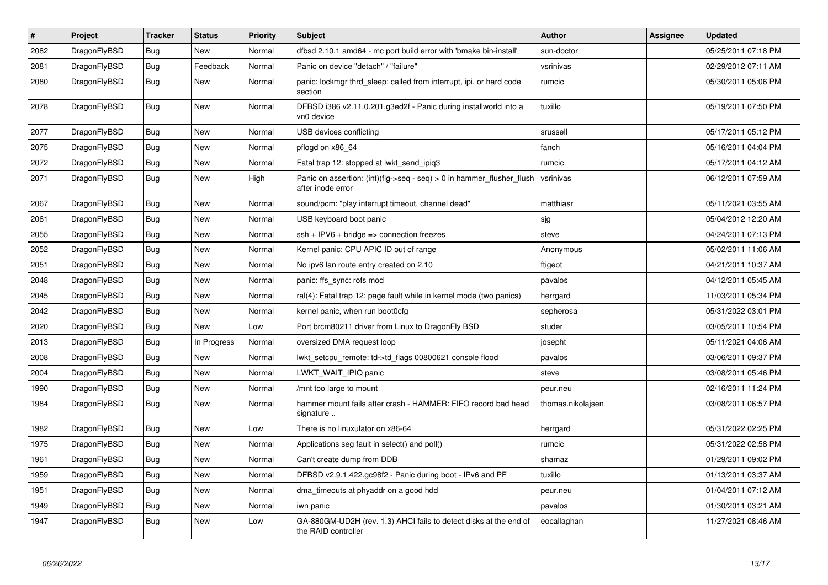| $\vert$ # | <b>Project</b> | <b>Tracker</b> | <b>Status</b> | <b>Priority</b> | <b>Subject</b>                                                                             | <b>Author</b>     | <b>Assignee</b> | <b>Updated</b>      |
|-----------|----------------|----------------|---------------|-----------------|--------------------------------------------------------------------------------------------|-------------------|-----------------|---------------------|
| 2082      | DragonFlyBSD   | Bug            | <b>New</b>    | Normal          | dfbsd 2.10.1 amd64 - mc port build error with 'bmake bin-install'                          | sun-doctor        |                 | 05/25/2011 07:18 PM |
| 2081      | DragonFlyBSD   | Bug            | Feedback      | Normal          | Panic on device "detach" / "failure"                                                       | vsrinivas         |                 | 02/29/2012 07:11 AM |
| 2080      | DragonFlyBSD   | <b>Bug</b>     | <b>New</b>    | Normal          | panic: lockmgr thrd sleep: called from interrupt, ipi, or hard code<br>section             | rumcic            |                 | 05/30/2011 05:06 PM |
| 2078      | DragonFlyBSD   | <b>Bug</b>     | New           | Normal          | DFBSD i386 v2.11.0.201.g3ed2f - Panic during installworld into a<br>vn0 device             | tuxillo           |                 | 05/19/2011 07:50 PM |
| 2077      | DragonFlyBSD   | <b>Bug</b>     | <b>New</b>    | Normal          | USB devices conflicting                                                                    | srussell          |                 | 05/17/2011 05:12 PM |
| 2075      | DragonFlyBSD   | Bug            | <b>New</b>    | Normal          | pflogd on x86 64                                                                           | fanch             |                 | 05/16/2011 04:04 PM |
| 2072      | DragonFlyBSD   | <b>Bug</b>     | <b>New</b>    | Normal          | Fatal trap 12: stopped at lwkt_send_ipiq3                                                  | rumcic            |                 | 05/17/2011 04:12 AM |
| 2071      | DragonFlyBSD   | Bug            | New           | High            | Panic on assertion: (int)(flg->seq - seq) > 0 in hammer_flusher_flush<br>after inode error | vsrinivas         |                 | 06/12/2011 07:59 AM |
| 2067      | DragonFlyBSD   | <b>Bug</b>     | <b>New</b>    | Normal          | sound/pcm: "play interrupt timeout, channel dead"                                          | matthiasr         |                 | 05/11/2021 03:55 AM |
| 2061      | DragonFlyBSD   | Bug            | <b>New</b>    | Normal          | USB keyboard boot panic                                                                    | sjg               |                 | 05/04/2012 12:20 AM |
| 2055      | DragonFlyBSD   | <b>Bug</b>     | <b>New</b>    | Normal          | ssh + IPV6 + bridge => connection freezes                                                  | steve             |                 | 04/24/2011 07:13 PM |
| 2052      | DragonFlyBSD   | Bug            | <b>New</b>    | Normal          | Kernel panic: CPU APIC ID out of range                                                     | Anonymous         |                 | 05/02/2011 11:06 AM |
| 2051      | DragonFlyBSD   | Bug            | <b>New</b>    | Normal          | No ipv6 lan route entry created on 2.10                                                    | ftigeot           |                 | 04/21/2011 10:37 AM |
| 2048      | DragonFlyBSD   | <b>Bug</b>     | <b>New</b>    | Normal          | panic: ffs sync: rofs mod                                                                  | pavalos           |                 | 04/12/2011 05:45 AM |
| 2045      | DragonFlyBSD   | <b>Bug</b>     | <b>New</b>    | Normal          | ral(4): Fatal trap 12: page fault while in kernel mode (two panics)                        | herrgard          |                 | 11/03/2011 05:34 PM |
| 2042      | DragonFlyBSD   | <b>Bug</b>     | <b>New</b>    | Normal          | kernel panic, when run boot0cfg                                                            | sepherosa         |                 | 05/31/2022 03:01 PM |
| 2020      | DragonFlyBSD   | Bug            | <b>New</b>    | Low             | Port brcm80211 driver from Linux to DragonFly BSD                                          | studer            |                 | 03/05/2011 10:54 PM |
| 2013      | DragonFlyBSD   | Bug            | In Progress   | Normal          | oversized DMA request loop                                                                 | josepht           |                 | 05/11/2021 04:06 AM |
| 2008      | DragonFlyBSD   | <b>Bug</b>     | <b>New</b>    | Normal          | lwkt setcpu remote: td->td flags 00800621 console flood                                    | pavalos           |                 | 03/06/2011 09:37 PM |
| 2004      | DragonFlyBSD   | <b>Bug</b>     | <b>New</b>    | Normal          | LWKT_WAIT_IPIQ panic                                                                       | steve             |                 | 03/08/2011 05:46 PM |
| 1990      | DragonFlyBSD   | <b>Bug</b>     | <b>New</b>    | Normal          | /mnt too large to mount                                                                    | peur.neu          |                 | 02/16/2011 11:24 PM |
| 1984      | DragonFlyBSD   | Bug            | <b>New</b>    | Normal          | hammer mount fails after crash - HAMMER: FIFO record bad head<br>signature                 | thomas.nikolajsen |                 | 03/08/2011 06:57 PM |
| 1982      | DragonFlyBSD   | Bug            | <b>New</b>    | Low             | There is no linuxulator on x86-64                                                          | herrgard          |                 | 05/31/2022 02:25 PM |
| 1975      | DragonFlyBSD   | <b>Bug</b>     | <b>New</b>    | Normal          | Applications seg fault in select() and poll()                                              | rumcic            |                 | 05/31/2022 02:58 PM |
| 1961      | DragonFlyBSD   | Bug            | <b>New</b>    | Normal          | Can't create dump from DDB                                                                 | shamaz            |                 | 01/29/2011 09:02 PM |
| 1959      | DragonFlyBSD   | <b>Bug</b>     | <b>New</b>    | Normal          | DFBSD v2.9.1.422.gc98f2 - Panic during boot - IPv6 and PF                                  | tuxillo           |                 | 01/13/2011 03:37 AM |
| 1951      | DragonFlyBSD   | Bug            | <b>New</b>    | Normal          | dma timeouts at phyaddr on a good hdd                                                      | peur.neu          |                 | 01/04/2011 07:12 AM |
| 1949      | DragonFlyBSD   | Bug            | New           | Normal          | iwn panic                                                                                  | pavalos           |                 | 01/30/2011 03:21 AM |
| 1947      | DragonFlyBSD   | Bug            | <b>New</b>    | Low             | GA-880GM-UD2H (rev. 1.3) AHCI fails to detect disks at the end of<br>the RAID controller   | eocallaghan       |                 | 11/27/2021 08:46 AM |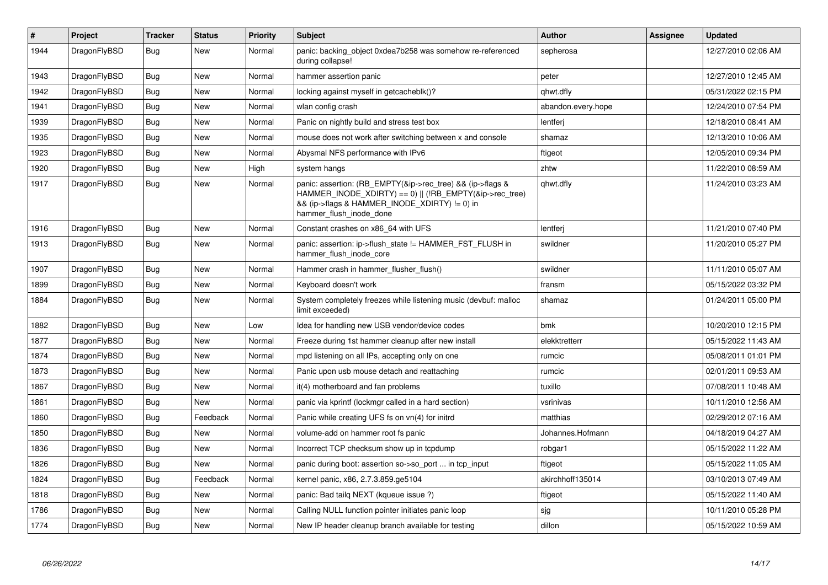| $\vert$ # | Project      | Tracker    | <b>Status</b> | <b>Priority</b> | <b>Subject</b>                                                                                                                                                                                    | <b>Author</b>      | Assignee | <b>Updated</b>      |
|-----------|--------------|------------|---------------|-----------------|---------------------------------------------------------------------------------------------------------------------------------------------------------------------------------------------------|--------------------|----------|---------------------|
| 1944      | DragonFlyBSD | <b>Bug</b> | <b>New</b>    | Normal          | panic: backing object 0xdea7b258 was somehow re-referenced<br>during collapse!                                                                                                                    | sepherosa          |          | 12/27/2010 02:06 AM |
| 1943      | DragonFlyBSD | Bug        | New           | Normal          | hammer assertion panic                                                                                                                                                                            | peter              |          | 12/27/2010 12:45 AM |
| 1942      | DragonFlyBSD | <b>Bug</b> | <b>New</b>    | Normal          | locking against myself in getcacheblk()?                                                                                                                                                          | qhwt.dfly          |          | 05/31/2022 02:15 PM |
| 1941      | DragonFlyBSD | Bug        | <b>New</b>    | Normal          | wlan config crash                                                                                                                                                                                 | abandon.every.hope |          | 12/24/2010 07:54 PM |
| 1939      | DragonFlyBSD | <b>Bug</b> | <b>New</b>    | Normal          | Panic on nightly build and stress test box                                                                                                                                                        | lentferj           |          | 12/18/2010 08:41 AM |
| 1935      | DragonFlyBSD | Bug        | <b>New</b>    | Normal          | mouse does not work after switching between x and console                                                                                                                                         | shamaz             |          | 12/13/2010 10:06 AM |
| 1923      | DragonFlyBSD | <b>Bug</b> | <b>New</b>    | Normal          | Abysmal NFS performance with IPv6                                                                                                                                                                 | ftigeot            |          | 12/05/2010 09:34 PM |
| 1920      | DragonFlyBSD | Bug        | <b>New</b>    | High            | system hangs                                                                                                                                                                                      | zhtw               |          | 11/22/2010 08:59 AM |
| 1917      | DragonFlyBSD | <b>Bug</b> | <b>New</b>    | Normal          | panic: assertion: (RB_EMPTY(&ip->rec_tree) && (ip->flags &<br>HAMMER INODE XDIRTY) == 0)    (!RB EMPTY(&ip->rec tree)<br>&& (ip->flags & HAMMER INODE XDIRTY) != 0) in<br>hammer_flush_inode_done | qhwt.dfly          |          | 11/24/2010 03:23 AM |
| 1916      | DragonFlyBSD | <b>Bug</b> | <b>New</b>    | Normal          | Constant crashes on x86 64 with UFS                                                                                                                                                               | lentferi           |          | 11/21/2010 07:40 PM |
| 1913      | DragonFlyBSD | <b>Bug</b> | New           | Normal          | panic: assertion: ip->flush state != HAMMER FST FLUSH in<br>hammer flush inode core                                                                                                               | swildner           |          | 11/20/2010 05:27 PM |
| 1907      | DragonFlyBSD | <b>Bug</b> | <b>New</b>    | Normal          | Hammer crash in hammer flusher flush()                                                                                                                                                            | swildner           |          | 11/11/2010 05:07 AM |
| 1899      | DragonFlyBSD | Bug        | New           | Normal          | Keyboard doesn't work                                                                                                                                                                             | fransm             |          | 05/15/2022 03:32 PM |
| 1884      | DragonFlyBSD | <b>Bug</b> | <b>New</b>    | Normal          | System completely freezes while listening music (devbuf: malloc<br>limit exceeded)                                                                                                                | shamaz             |          | 01/24/2011 05:00 PM |
| 1882      | DragonFlyBSD | <b>Bug</b> | <b>New</b>    | Low             | Idea for handling new USB vendor/device codes                                                                                                                                                     | bmk                |          | 10/20/2010 12:15 PM |
| 1877      | DragonFlyBSD | Bug        | <b>New</b>    | Normal          | Freeze during 1st hammer cleanup after new install                                                                                                                                                | elekktretterr      |          | 05/15/2022 11:43 AM |
| 1874      | DragonFlyBSD | <b>Bug</b> | <b>New</b>    | Normal          | mpd listening on all IPs, accepting only on one                                                                                                                                                   | rumcic             |          | 05/08/2011 01:01 PM |
| 1873      | DragonFlyBSD | Bug        | <b>New</b>    | Normal          | Panic upon usb mouse detach and reattaching                                                                                                                                                       | rumcic             |          | 02/01/2011 09:53 AM |
| 1867      | DragonFlyBSD | Bug        | <b>New</b>    | Normal          | it(4) motherboard and fan problems                                                                                                                                                                | tuxillo            |          | 07/08/2011 10:48 AM |
| 1861      | DragonFlyBSD | <b>Bug</b> | New           | Normal          | panic via kprintf (lockmgr called in a hard section)                                                                                                                                              | vsrinivas          |          | 10/11/2010 12:56 AM |
| 1860      | DragonFlyBSD | Bug        | Feedback      | Normal          | Panic while creating UFS fs on vn(4) for initrd                                                                                                                                                   | matthias           |          | 02/29/2012 07:16 AM |
| 1850      | DragonFlyBSD | <b>Bug</b> | <b>New</b>    | Normal          | volume-add on hammer root fs panic                                                                                                                                                                | Johannes.Hofmann   |          | 04/18/2019 04:27 AM |
| 1836      | DragonFlyBSD | Bug        | <b>New</b>    | Normal          | Incorrect TCP checksum show up in tcpdump                                                                                                                                                         | robgar1            |          | 05/15/2022 11:22 AM |
| 1826      | DragonFlyBSD | <b>Bug</b> | <b>New</b>    | Normal          | panic during boot: assertion so->so_port  in tcp_input                                                                                                                                            | ftigeot            |          | 05/15/2022 11:05 AM |
| 1824      | DragonFlyBSD | Bug        | Feedback      | Normal          | kernel panic, x86, 2.7.3.859.ge5104                                                                                                                                                               | akirchhoff135014   |          | 03/10/2013 07:49 AM |
| 1818      | DragonFlyBSD | <b>Bug</b> | <b>New</b>    | Normal          | panic: Bad tailq NEXT (kqueue issue ?)                                                                                                                                                            | ftigeot            |          | 05/15/2022 11:40 AM |
| 1786      | DragonFlyBSD | Bug        | New           | Normal          | Calling NULL function pointer initiates panic loop                                                                                                                                                | sjg                |          | 10/11/2010 05:28 PM |
| 1774      | DragonFlyBSD | <b>Bug</b> | <b>New</b>    | Normal          | New IP header cleanup branch available for testing                                                                                                                                                | dillon             |          | 05/15/2022 10:59 AM |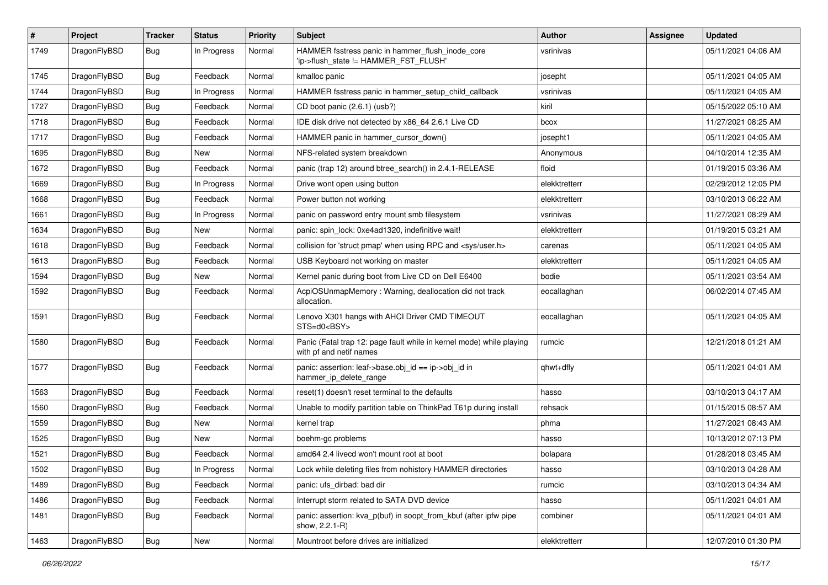| $\pmb{\#}$ | Project      | <b>Tracker</b> | <b>Status</b> | <b>Priority</b> | <b>Subject</b>                                                                                  | Author        | Assignee | <b>Updated</b>      |
|------------|--------------|----------------|---------------|-----------------|-------------------------------------------------------------------------------------------------|---------------|----------|---------------------|
| 1749       | DragonFlyBSD | Bug            | In Progress   | Normal          | HAMMER fsstress panic in hammer_flush_inode_core<br>'ip->flush_state != HAMMER_FST_FLUSH'       | vsrinivas     |          | 05/11/2021 04:06 AM |
| 1745       | DragonFlyBSD | <b>Bug</b>     | Feedback      | Normal          | kmalloc panic                                                                                   | josepht       |          | 05/11/2021 04:05 AM |
| 1744       | DragonFlyBSD | Bug            | In Progress   | Normal          | HAMMER fsstress panic in hammer_setup_child_callback                                            | vsrinivas     |          | 05/11/2021 04:05 AM |
| 1727       | DragonFlyBSD | <b>Bug</b>     | Feedback      | Normal          | CD boot panic (2.6.1) (usb?)                                                                    | kiril         |          | 05/15/2022 05:10 AM |
| 1718       | DragonFlyBSD | <b>Bug</b>     | Feedback      | Normal          | IDE disk drive not detected by x86_64 2.6.1 Live CD                                             | bcox          |          | 11/27/2021 08:25 AM |
| 1717       | DragonFlyBSD | Bug            | Feedback      | Normal          | HAMMER panic in hammer_cursor_down()                                                            | josepht1      |          | 05/11/2021 04:05 AM |
| 1695       | DragonFlyBSD | <b>Bug</b>     | New           | Normal          | NFS-related system breakdown                                                                    | Anonymous     |          | 04/10/2014 12:35 AM |
| 1672       | DragonFlyBSD | <b>Bug</b>     | Feedback      | Normal          | panic (trap 12) around btree_search() in 2.4.1-RELEASE                                          | floid         |          | 01/19/2015 03:36 AM |
| 1669       | DragonFlyBSD | <b>Bug</b>     | In Progress   | Normal          | Drive wont open using button                                                                    | elekktretterr |          | 02/29/2012 12:05 PM |
| 1668       | DragonFlyBSD | <b>Bug</b>     | Feedback      | Normal          | Power button not working                                                                        | elekktretterr |          | 03/10/2013 06:22 AM |
| 1661       | DragonFlyBSD | Bug            | In Progress   | Normal          | panic on password entry mount smb filesystem                                                    | vsrinivas     |          | 11/27/2021 08:29 AM |
| 1634       | DragonFlyBSD | <b>Bug</b>     | New           | Normal          | panic: spin_lock: 0xe4ad1320, indefinitive wait!                                                | elekktretterr |          | 01/19/2015 03:21 AM |
| 1618       | DragonFlyBSD | Bug            | Feedback      | Normal          | collision for 'struct pmap' when using RPC and <sys user.h=""></sys>                            | carenas       |          | 05/11/2021 04:05 AM |
| 1613       | DragonFlyBSD | <b>Bug</b>     | Feedback      | Normal          | USB Keyboard not working on master                                                              | elekktretterr |          | 05/11/2021 04:05 AM |
| 1594       | DragonFlyBSD | <b>Bug</b>     | New           | Normal          | Kernel panic during boot from Live CD on Dell E6400                                             | bodie         |          | 05/11/2021 03:54 AM |
| 1592       | DragonFlyBSD | Bug            | Feedback      | Normal          | AcpiOSUnmapMemory: Warning, deallocation did not track<br>allocation.                           | eocallaghan   |          | 06/02/2014 07:45 AM |
| 1591       | DragonFlyBSD | Bug            | Feedback      | Normal          | Lenovo X301 hangs with AHCI Driver CMD TIMEOUT<br>STS=d0 <bsy></bsy>                            | eocallaghan   |          | 05/11/2021 04:05 AM |
| 1580       | DragonFlyBSD | <b>Bug</b>     | Feedback      | Normal          | Panic (Fatal trap 12: page fault while in kernel mode) while playing<br>with pf and netif names | rumcic        |          | 12/21/2018 01:21 AM |
| 1577       | DragonFlyBSD | <b>Bug</b>     | Feedback      | Normal          | panic: assertion: leaf->base.obj_id == ip->obj_id in<br>hammer_ip_delete_range                  | qhwt+dfly     |          | 05/11/2021 04:01 AM |
| 1563       | DragonFlyBSD | Bug            | Feedback      | Normal          | reset(1) doesn't reset terminal to the defaults                                                 | hasso         |          | 03/10/2013 04:17 AM |
| 1560       | DragonFlyBSD | <b>Bug</b>     | Feedback      | Normal          | Unable to modify partition table on ThinkPad T61p during install                                | rehsack       |          | 01/15/2015 08:57 AM |
| 1559       | DragonFlyBSD | <b>Bug</b>     | New           | Normal          | kernel trap                                                                                     | phma          |          | 11/27/2021 08:43 AM |
| 1525       | DragonFlyBSD | Bug            | <b>New</b>    | Normal          | boehm-gc problems                                                                               | hasso         |          | 10/13/2012 07:13 PM |
| 1521       | DragonFlyBSD | <b>Bug</b>     | Feedback      | Normal          | amd64 2.4 livecd won't mount root at boot                                                       | bolapara      |          | 01/28/2018 03:45 AM |
| 1502       | DragonFlyBSD | Bug            | In Progress   | Normal          | Lock while deleting files from nohistory HAMMER directories                                     | nasso         |          | 03/10/2013 04:28 AM |
| 1489       | DragonFlyBSD | <b>Bug</b>     | Feedback      | Normal          | panic: ufs_dirbad: bad dir                                                                      | rumcic        |          | 03/10/2013 04:34 AM |
| 1486       | DragonFlyBSD | <b>Bug</b>     | Feedback      | Normal          | Interrupt storm related to SATA DVD device                                                      | hasso         |          | 05/11/2021 04:01 AM |
| 1481       | DragonFlyBSD | Bug            | Feedback      | Normal          | panic: assertion: kva_p(buf) in soopt_from_kbuf (after ipfw pipe<br>show, 2.2.1-R)              | combiner      |          | 05/11/2021 04:01 AM |
| 1463       | DragonFlyBSD | Bug            | New           | Normal          | Mountroot before drives are initialized                                                         | elekktretterr |          | 12/07/2010 01:30 PM |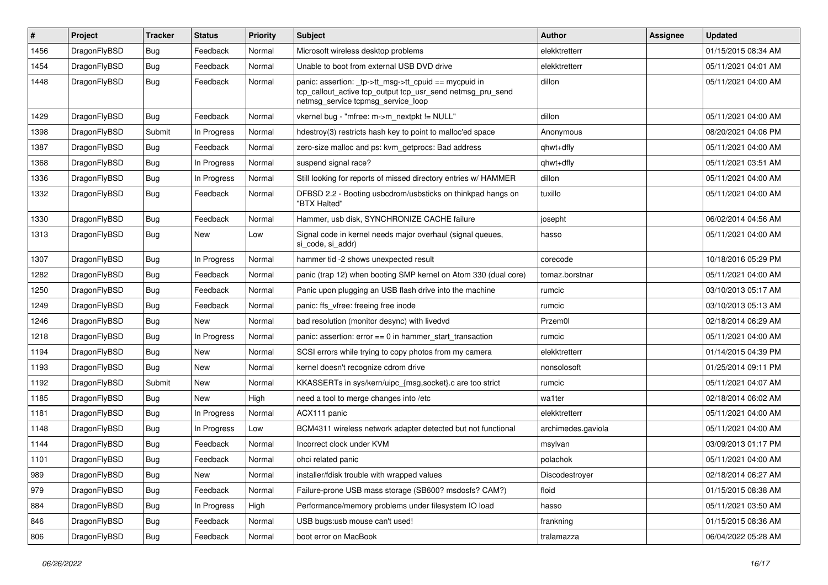| #    | Project      | <b>Tracker</b> | <b>Status</b> | <b>Priority</b> | Subject                                                                                                                                                   | Author             | <b>Assignee</b> | <b>Updated</b>      |
|------|--------------|----------------|---------------|-----------------|-----------------------------------------------------------------------------------------------------------------------------------------------------------|--------------------|-----------------|---------------------|
| 1456 | DragonFlyBSD | Bug            | Feedback      | Normal          | Microsoft wireless desktop problems                                                                                                                       | elekktretterr      |                 | 01/15/2015 08:34 AM |
| 1454 | DragonFlyBSD | <b>Bug</b>     | Feedback      | Normal          | Unable to boot from external USB DVD drive                                                                                                                | elekktretterr      |                 | 05/11/2021 04:01 AM |
| 1448 | DragonFlyBSD | <b>Bug</b>     | Feedback      | Normal          | panic: assertion: _tp->tt_msg->tt_cpuid == mycpuid in<br>tcp_callout_active tcp_output tcp_usr_send netmsg_pru_send<br>netmsg_service tcpmsg_service_loop | dillon             |                 | 05/11/2021 04:00 AM |
| 1429 | DragonFlyBSD | <b>Bug</b>     | Feedback      | Normal          | vkernel bug - "mfree: m->m_nextpkt != NULL"                                                                                                               | dillon             |                 | 05/11/2021 04:00 AM |
| 1398 | DragonFlyBSD | Submit         | In Progress   | Normal          | hdestroy(3) restricts hash key to point to malloc'ed space                                                                                                | Anonymous          |                 | 08/20/2021 04:06 PM |
| 1387 | DragonFlyBSD | <b>Bug</b>     | Feedback      | Normal          | zero-size malloc and ps: kvm getprocs: Bad address                                                                                                        | ghwt+dfly          |                 | 05/11/2021 04:00 AM |
| 1368 | DragonFlyBSD | <b>Bug</b>     | In Progress   | Normal          | suspend signal race?                                                                                                                                      | qhwt+dfly          |                 | 05/11/2021 03:51 AM |
| 1336 | DragonFlyBSD | <b>Bug</b>     | In Progress   | Normal          | Still looking for reports of missed directory entries w/ HAMMER                                                                                           | dillon             |                 | 05/11/2021 04:00 AM |
| 1332 | DragonFlyBSD | <b>Bug</b>     | Feedback      | Normal          | DFBSD 2.2 - Booting usbcdrom/usbsticks on thinkpad hangs on<br>"BTX Halted"                                                                               | tuxillo            |                 | 05/11/2021 04:00 AM |
| 1330 | DragonFlyBSD | Bug            | Feedback      | Normal          | Hammer, usb disk, SYNCHRONIZE CACHE failure                                                                                                               | josepht            |                 | 06/02/2014 04:56 AM |
| 1313 | DragonFlyBSD | <b>Bug</b>     | New           | Low             | Signal code in kernel needs major overhaul (signal queues,<br>si_code, si_addr)                                                                           | hasso              |                 | 05/11/2021 04:00 AM |
| 1307 | DragonFlyBSD | Bug            | In Progress   | Normal          | hammer tid -2 shows unexpected result                                                                                                                     | corecode           |                 | 10/18/2016 05:29 PM |
| 1282 | DragonFlyBSD | <b>Bug</b>     | Feedback      | Normal          | panic (trap 12) when booting SMP kernel on Atom 330 (dual core)                                                                                           | tomaz.borstnar     |                 | 05/11/2021 04:00 AM |
| 1250 | DragonFlyBSD | <b>Bug</b>     | Feedback      | Normal          | Panic upon plugging an USB flash drive into the machine                                                                                                   | rumcic             |                 | 03/10/2013 05:17 AM |
| 1249 | DragonFlyBSD | <b>Bug</b>     | Feedback      | Normal          | panic: ffs vfree: freeing free inode                                                                                                                      | rumcic             |                 | 03/10/2013 05:13 AM |
| 1246 | DragonFlyBSD | Bug            | New           | Normal          | bad resolution (monitor desync) with livedvd                                                                                                              | Przem0l            |                 | 02/18/2014 06:29 AM |
| 1218 | DragonFlyBSD | <b>Bug</b>     | In Progress   | Normal          | panic: assertion: $error == 0$ in hammer start transaction                                                                                                | rumcic             |                 | 05/11/2021 04:00 AM |
| 1194 | DragonFlyBSD | Bug            | New           | Normal          | SCSI errors while trying to copy photos from my camera                                                                                                    | elekktretterr      |                 | 01/14/2015 04:39 PM |
| 1193 | DragonFlyBSD | <b>Bug</b>     | <b>New</b>    | Normal          | kernel doesn't recognize cdrom drive                                                                                                                      | nonsolosoft        |                 | 01/25/2014 09:11 PM |
| 1192 | DragonFlyBSD | Submit         | New           | Normal          | KKASSERTs in sys/kern/uipc_{msg,socket}.c are too strict                                                                                                  | rumcic             |                 | 05/11/2021 04:07 AM |
| 1185 | DragonFlyBSD | Bug            | New           | High            | need a tool to merge changes into /etc                                                                                                                    | wa1ter             |                 | 02/18/2014 06:02 AM |
| 1181 | DragonFlyBSD | <b>Bug</b>     | In Progress   | Normal          | ACX111 panic                                                                                                                                              | elekktretterr      |                 | 05/11/2021 04:00 AM |
| 1148 | DragonFlyBSD | <b>Bug</b>     | In Progress   | Low             | BCM4311 wireless network adapter detected but not functional                                                                                              | archimedes.gaviola |                 | 05/11/2021 04:00 AM |
| 1144 | DragonFlyBSD | <b>Bug</b>     | Feedback      | Normal          | Incorrect clock under KVM                                                                                                                                 | msylvan            |                 | 03/09/2013 01:17 PM |
| 1101 | DragonFlyBSD | <b>Bug</b>     | Feedback      | Normal          | ohci related panic                                                                                                                                        | polachok           |                 | 05/11/2021 04:00 AM |
| 989  | DragonFlyBSD | <b>Bug</b>     | New           | Normal          | installer/fdisk trouble with wrapped values                                                                                                               | Discodestroyer     |                 | 02/18/2014 06:27 AM |
| 979  | DragonFlyBSD | Bug            | Feedback      | Normal          | Failure-prone USB mass storage (SB600? msdosfs? CAM?)                                                                                                     | floid              |                 | 01/15/2015 08:38 AM |
| 884  | DragonFlyBSD | <b>Bug</b>     | In Progress   | High            | Performance/memory problems under filesystem IO load                                                                                                      | hasso              |                 | 05/11/2021 03:50 AM |
| 846  | DragonFlyBSD | <b>Bug</b>     | Feedback      | Normal          | USB bugs:usb mouse can't used!                                                                                                                            | frankning          |                 | 01/15/2015 08:36 AM |
| 806  | DragonFlyBSD | <b>Bug</b>     | Feedback      | Normal          | boot error on MacBook                                                                                                                                     | tralamazza         |                 | 06/04/2022 05:28 AM |